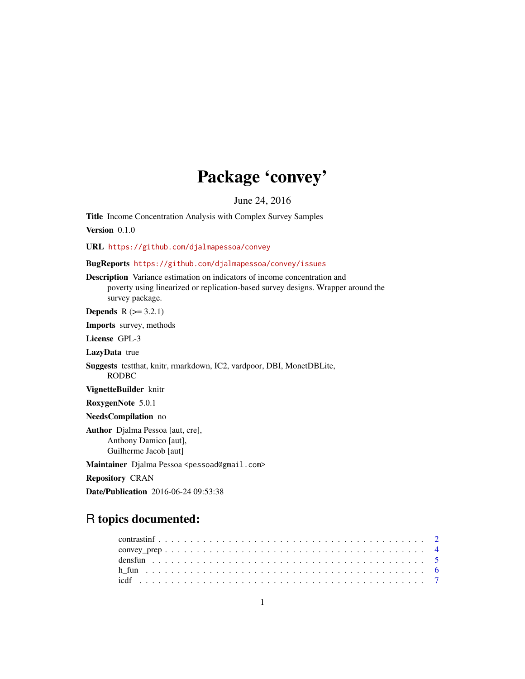# Package 'convey'

June 24, 2016

<span id="page-0-0"></span>Title Income Concentration Analysis with Complex Survey Samples

Version 0.1.0

URL <https://github.com/djalmapessoa/convey>

BugReports <https://github.com/djalmapessoa/convey/issues>

Description Variance estimation on indicators of income concentration and poverty using linearized or replication-based survey designs. Wrapper around the survey package.

**Depends**  $R$  ( $>= 3.2.1$ )

Imports survey, methods

License GPL-3

LazyData true

Suggests testthat, knitr, rmarkdown, IC2, vardpoor, DBI, MonetDBLite, RODBC

VignetteBuilder knitr

RoxygenNote 5.0.1

NeedsCompilation no

Author Djalma Pessoa [aut, cre], Anthony Damico [aut], Guilherme Jacob [aut]

Maintainer Djalma Pessoa <pessoad@gmail.com>

Repository CRAN

Date/Publication 2016-06-24 09:53:38

# R topics documented: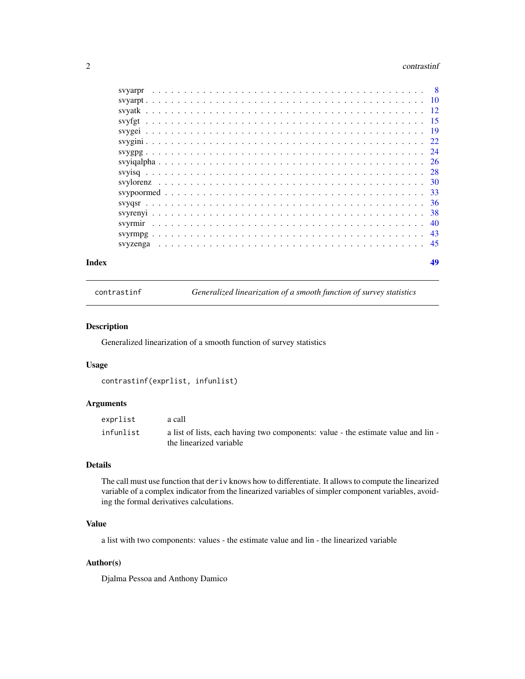#### <span id="page-1-0"></span>2 contrastinf

| syyarpr  |     |
|----------|-----|
|          |     |
|          |     |
|          | -15 |
|          | -19 |
|          | 22  |
|          | -24 |
|          | 26  |
|          | 28  |
|          | 30  |
|          | 33  |
|          | -36 |
|          | 38  |
|          | 40  |
|          | 43  |
| svyzenga | 45  |
|          |     |

#### **Index a** set of the contract of the contract of the contract of the contract of the contract of the contract of the contract of the contract of the contract of the contract of the contract of the contract of the contrac

contrastinf *Generalized linearization of a smooth function of survey statistics*

# Description

Generalized linearization of a smooth function of survey statistics

# Usage

```
contrastinf(exprlist, infunlist)
```
# Arguments

| exprlist  | a call                                                                                                       |
|-----------|--------------------------------------------------------------------------------------------------------------|
| infunlist | a list of lists, each having two components: value - the estimate value and lin -<br>the linearized variable |

# Details

The call must use function that deriv knows how to differentiate. It allows to compute the linearized variable of a complex indicator from the linearized variables of simpler component variables, avoiding the formal derivatives calculations.

# Value

a list with two components: values - the estimate value and lin - the linearized variable

# Author(s)

Djalma Pessoa and Anthony Damico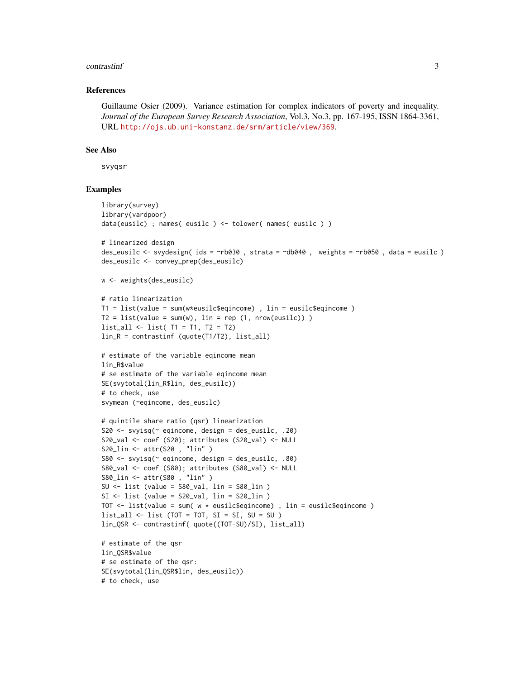#### contrastinf 3

# References

Guillaume Osier (2009). Variance estimation for complex indicators of poverty and inequality. *Journal of the European Survey Research Association*, Vol.3, No.3, pp. 167-195, ISSN 1864-3361, URL <http://ojs.ub.uni-konstanz.de/srm/article/view/369>.

# See Also

svyqsr

```
library(survey)
library(vardpoor)
data(eusilc) ; names( eusilc ) <- tolower( names( eusilc ) )
# linearized design
des_eusilc <- svydesign( ids = ~rb030 , strata = ~db040 , weights = ~rb050 , data = eusilc )
des_eusilc <- convey_prep(des_eusilc)
w <- weights(des_eusilc)
# ratio linearization
T1 = list(value = sum(w*existcigencome), lin = easilySeqincome)T2 = list(value = sum(w), lin = rep(1, nrow(eusile)))list_all <- list( T1 = T1, T2 = T2)
lin_R = contrastinf (quote(T1/T2), list_all)
# estimate of the variable eqincome mean
lin R$value
# se estimate of the variable eqincome mean
SE(svytotal(lin_R$lin, des_eusilc))
# to check, use
svymean (~eqincome, des_eusilc)
# quintile share ratio (qsr) linearization
S20 <- svyisq(~ eqincome, design = des_eusilc, .20)
S20_val <- coef (S20); attributes (S20_val) <- NULL
S20_lin <- attr(S20 , "lin" )
S80 \le svyisq(\le eqincome, design = des_eusilc, .80)
S80_val <- coef (S80); attributes (S80_val) <- NULL
S80_lin <- attr(S80 , "lin" )
SU \leftarrow list (value = S80 val, lin = S80 lin )
SI \leftarrow list (value = S20_val, lin = S20_llin )
TOT <- list(value = sum( w * eusilc$eqincome) , lin = eusilc$eqincome )
list\_all \leftarrow list (TOT = TOT, SI = SI, SU = SU)lin_QSR <- contrastinf( quote((TOT-SU)/SI), list_all)
# estimate of the qsr
lin_QSR$value
# se estimate of the qsr:
SE(svytotal(lin_QSR$lin, des_eusilc))
# to check, use
```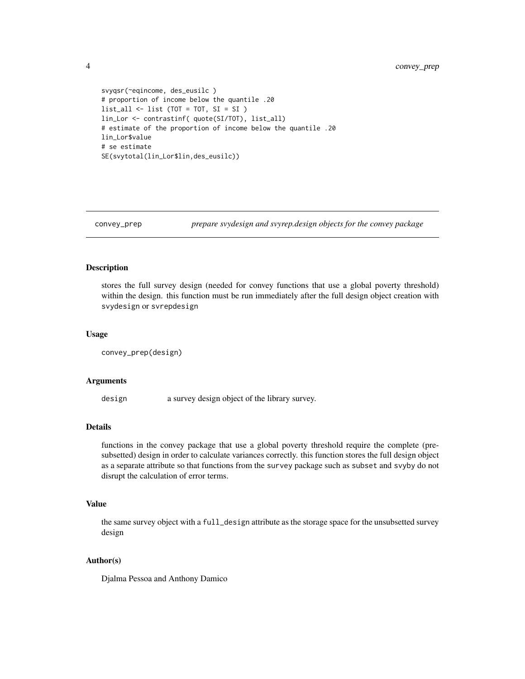```
svyqsr(~eqincome, des_eusilc )
# proportion of income below the quantile .20
list_all <- list (TOT = TOT, SI = SI )
lin_Lor <- contrastinf( quote(SI/TOT), list_all)
# estimate of the proportion of income below the quantile .20
lin_Lor$value
# se estimate
SE(svytotal(lin_Lor$lin,des_eusilc))
```
convey\_prep *prepare svydesign and svyrep.design objects for the convey package*

# Description

stores the full survey design (needed for convey functions that use a global poverty threshold) within the design. this function must be run immediately after the full design object creation with svydesign or svrepdesign

#### Usage

```
convey_prep(design)
```
#### Arguments

design a survey design object of the library survey.

#### Details

functions in the convey package that use a global poverty threshold require the complete (presubsetted) design in order to calculate variances correctly. this function stores the full design object as a separate attribute so that functions from the survey package such as subset and svyby do not disrupt the calculation of error terms.

# Value

the same survey object with a full\_design attribute as the storage space for the unsubsetted survey design

# Author(s)

Djalma Pessoa and Anthony Damico

<span id="page-3-0"></span>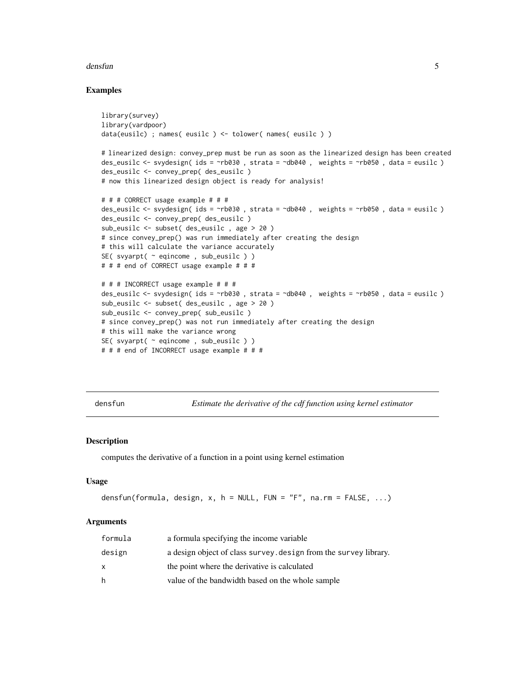#### <span id="page-4-0"></span>densfun 55 million and the set of the set of the set of the set of the set of the set of the set of the set of the set of the set of the set of the set of the set of the set of the set of the set of the set of the set of t

# Examples

```
library(survey)
library(vardpoor)
data(eusilc) ; names( eusilc ) <- tolower( names( eusilc ) )
# linearized design: convey_prep must be run as soon as the linearized design has been created
des_eusilc <- svydesign( ids = ~rb030 , strata = ~db040 , weights = ~rb050 , data = eusilc )
des_eusilc <- convey_prep( des_eusilc )
# now this linearized design object is ready for analysis!
# # # CORRECT usage example # # #
des_eusilc <- svydesign( ids = ~rb030 , strata = ~db040 , weights = ~rb050 , data = eusilc )
des_eusilc <- convey_prep( des_eusilc )
sub_eusilc <- subset( des_eusilc , age > 20 )
# since convey_prep() was run immediately after creating the design
# this will calculate the variance accurately
SE( svyarpt( \sim eqincome, sub_eusilc ) )
# # # end of CORRECT usage example # # #
# # # INCORRECT usage example # # #
des_eusilc <- svydesign( ids = ~rb030 , strata = ~db040 , weights = ~rb050 , data = eusilc )
sub_eusilc <- subset( des_eusilc , age > 20 )
sub_eusilc <- convey_prep( sub_eusilc )
# since convey_prep() was not run immediately after creating the design
# this will make the variance wrong
SE( svyarpt( ~ eqincome , sub_eusilc ) )
# # # end of INCORRECT usage example # # #
```
densfun *Estimate the derivative of the cdf function using kernel estimator*

#### **Description**

computes the derivative of a function in a point using kernel estimation

#### Usage

```
densfun(formula, design, x, h = NULL, FUN = "F", na.rm = FALSE, ...)
```
# Arguments

| formula | a formula specifying the income variable                        |
|---------|-----------------------------------------------------------------|
| design  | a design object of class survey design from the survey library. |
| x       | the point where the derivative is calculated                    |
| h       | value of the bandwidth based on the whole sample                |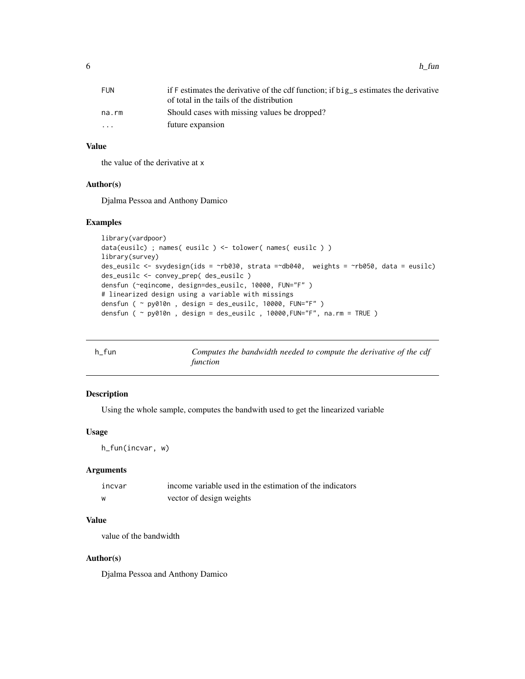<span id="page-5-0"></span>

| FUN                     | if F estimates the derivative of the cdf function; if big s estimates the derivative |
|-------------------------|--------------------------------------------------------------------------------------|
|                         | of total in the tails of the distribution                                            |
| na.rm                   | Should cases with missing values be dropped?                                         |
| $\cdot$ $\cdot$ $\cdot$ | future expansion                                                                     |
|                         |                                                                                      |

# Value

the value of the derivative at x

# Author(s)

Djalma Pessoa and Anthony Damico

# Examples

```
library(vardpoor)
data(eusilc) ; names( eusilc ) <- tolower( names( eusilc ) )
library(survey)
des_eusilc <- svydesign(ids = ~rb030, strata =~db040, weights = ~rb050, data = eusilc)
des_eusilc <- convey_prep( des_eusilc )
densfun (~eqincome, design=des_eusilc, 10000, FUN="F" )
# linearized design using a variable with missings
densfun ( ~ py010n , design = des_eusilc, 10000, FUN="F" )
densfun ( \sim py010n , design = des_eusilc , 10000, FUN="F", na.rm = TRUE )
```

| h fun | Computes the bandwidth needed to compute the derivative of the cdf |  |
|-------|--------------------------------------------------------------------|--|
|       | function                                                           |  |

# Description

Using the whole sample, computes the bandwith used to get the linearized variable

# Usage

h\_fun(incvar, w)

# Arguments

| incvar | income variable used in the estimation of the indicators |
|--------|----------------------------------------------------------|
| W      | vector of design weights                                 |

# Value

value of the bandwidth

# Author(s)

Djalma Pessoa and Anthony Damico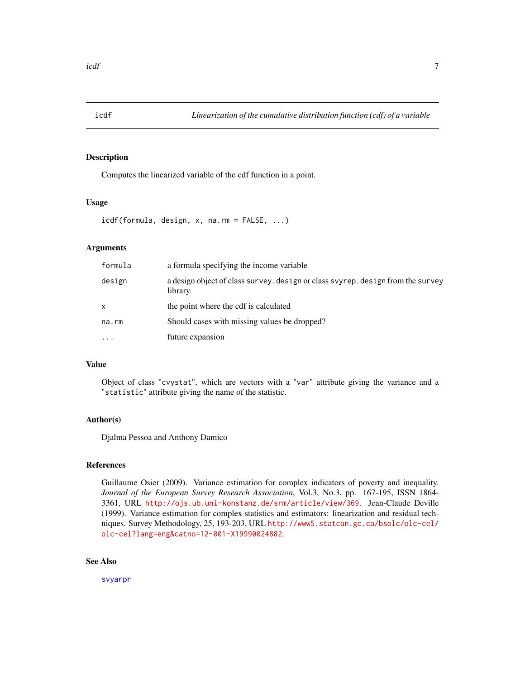<span id="page-6-0"></span>

# Description

Computes the linearized variable of the cdf function in a point.

# Usage

```
icdf(formula, design, x, na.rm = FALSE, ...)
```
# Arguments

| formula   | a formula specifying the income variable                                                    |
|-----------|---------------------------------------------------------------------------------------------|
| design    | a design object of class survey. design or class svyrep. design from the survey<br>library. |
| x         | the point where the cdf is calculated                                                       |
| na.rm     | Should cases with missing values be dropped?                                                |
| $\ddotsc$ | future expansion                                                                            |

# Value

Object of class "cvystat", which are vectors with a "var" attribute giving the variance and a "statistic" attribute giving the name of the statistic.

# Author(s)

Djalma Pessoa and Anthony Damico

# References

Guillaume Osier (2009). Variance estimation for complex indicators of poverty and inequality. *Journal of the European Survey Research Association*, Vol.3, No.3, pp. 167-195, ISSN 1864- 3361, URL <http://ojs.ub.uni-konstanz.de/srm/article/view/369>. Jean-Claude Deville (1999). Variance estimation for complex statistics and estimators: linearization and residual techniques. Survey Methodology, 25, 193-203, URL [http://www5.statcan.gc.ca/bsolc/olc-cel/](http://www5.statcan.gc.ca/bsolc/olc-cel/olc-cel?lang=eng&catno=12-001-X19990024882) [olc-cel?lang=eng&catno=12-001-X19990024882](http://www5.statcan.gc.ca/bsolc/olc-cel/olc-cel?lang=eng&catno=12-001-X19990024882).

# See Also

[svyarpr](#page-7-1)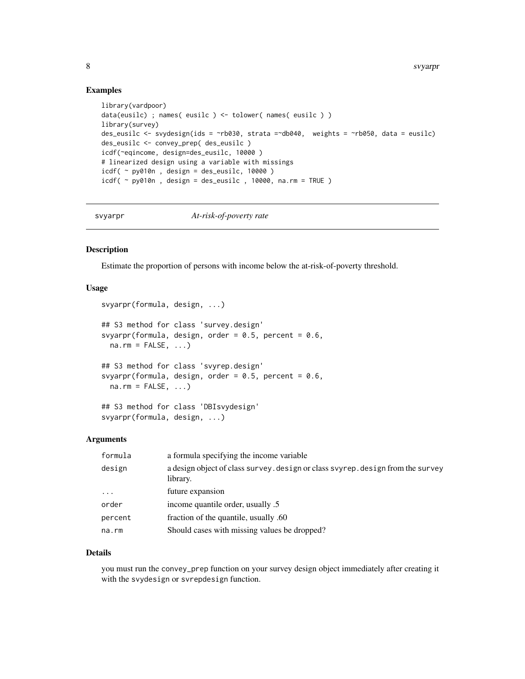# Examples

```
library(vardpoor)
data(eusilc) ; names( eusilc ) <- tolower( names( eusilc ) )
library(survey)
des_eusilc <- svydesign(ids = ~rb030, strata =~db040, weights = ~rb050, data = eusilc)
des_eusilc <- convey_prep( des_eusilc )
icdf(~eqincome, design=des_eusilc, 10000 )
# linearized design using a variable with missings
icdf( ~ py010n, design = des_eusilc, 10000)
icdf \gamma py010n, design = des_eusilc, 10000, na.rm = TRUE )
```
<span id="page-7-1"></span>

svyarpr *At-risk-of-poverty rate*

# Description

Estimate the proportion of persons with income below the at-risk-of-poverty threshold.

# Usage

```
svyarpr(formula, design, ...)
## S3 method for class 'survey.design'
svyarpr(formula, design, order = 0.5, percent = 0.6,
 na.rm = FALSE, ...)## S3 method for class 'svyrep.design'
svyarpr(formula, design, order = 0.5, percent = 0.6,
 na.rm = FALSE, ...)## S3 method for class 'DBIsvydesign'
svyarpr(formula, design, ...)
```
# Arguments

| formula   | a formula specifying the income variable                                                    |
|-----------|---------------------------------------------------------------------------------------------|
| design    | a design object of class survey. design or class svyrep. design from the survey<br>library. |
| $\ddotsc$ | future expansion                                                                            |
| order     | income quantile order, usually .5                                                           |
| percent   | fraction of the quantile, usually .60                                                       |
| na.rm     | Should cases with missing values be dropped?                                                |

# Details

you must run the convey\_prep function on your survey design object immediately after creating it with the svydesign or svrepdesign function.

<span id="page-7-0"></span>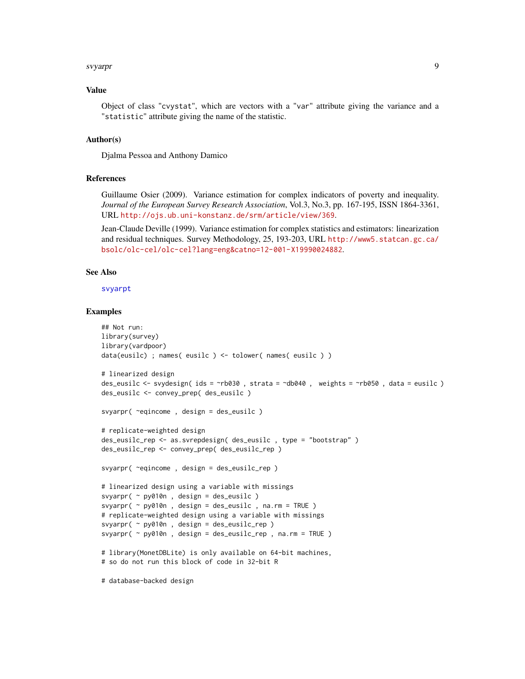#### <span id="page-8-0"></span>svyarpr 9

## Value

Object of class "cvystat", which are vectors with a "var" attribute giving the variance and a "statistic" attribute giving the name of the statistic.

#### Author(s)

Djalma Pessoa and Anthony Damico

# References

Guillaume Osier (2009). Variance estimation for complex indicators of poverty and inequality. *Journal of the European Survey Research Association*, Vol.3, No.3, pp. 167-195, ISSN 1864-3361, URL <http://ojs.ub.uni-konstanz.de/srm/article/view/369>.

Jean-Claude Deville (1999). Variance estimation for complex statistics and estimators: linearization and residual techniques. Survey Methodology, 25, 193-203, URL [http://www5.statcan.gc.ca/](http://www5.statcan.gc.ca/bsolc/olc-cel/olc-cel?lang=eng&catno=12-001-X19990024882) [bsolc/olc-cel/olc-cel?lang=eng&catno=12-001-X19990024882](http://www5.statcan.gc.ca/bsolc/olc-cel/olc-cel?lang=eng&catno=12-001-X19990024882).

#### See Also

[svyarpt](#page-9-1)

```
## Not run:
library(survey)
library(vardpoor)
data(eusilc) ; names( eusilc ) <- tolower( names( eusilc ) )
# linearized design
des_eusilc <- svydesign( ids = ~rb030 , strata = ~db040 , weights = ~rb050 , data = eusilc )
des_eusilc <- convey_prep( des_eusilc )
svyarpr( ~eqincome , design = des_eusilc )
# replicate-weighted design
des_eusilc_rep <- as.svrepdesign( des_eusilc , type = "bootstrap" )
des_eusilc_rep <- convey_prep( des_eusilc_rep )
svyarpr( ~eqincome , design = des_eusilc_rep )
# linearized design using a variable with missings
svyarpr( ~ py010n , design = des_eusilc )
svyarpr( ~ py010n , design = des_eusilc , na.rm = TRUE )
# replicate-weighted design using a variable with missings
svyarpr( ~ py010n , design = des_eusilc_rep )
svyarpr( ~ py010n , design = des_eusilc_rep , na.rm = TRUE )
# library(MonetDBLite) is only available on 64-bit machines,
# so do not run this block of code in 32-bit R
# database-backed design
```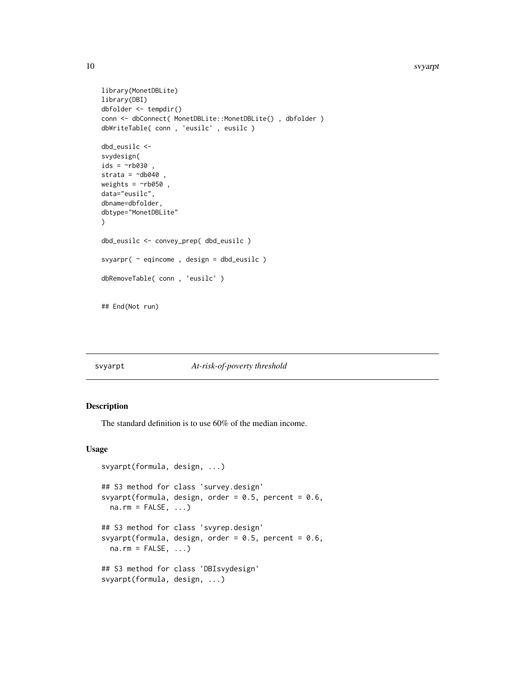#### <span id="page-9-0"></span>10 svyarpt

```
library(MonetDBLite)
library(DBI)
dbfolder <- tempdir()
conn <- dbConnect( MonetDBLite::MonetDBLite() , dbfolder )
dbWriteTable( conn , 'eusilc' , eusilc )
dbd_eusilc <-
svydesign(
ids = \negrb030,
strata = \negdb040,
weights = \negrb050,
data="eusilc",
dbname=dbfolder,
dbtype="MonetDBLite"
\mathcal{L}dbd_eusilc <- convey_prep( dbd_eusilc )
svyarpr( ~ eqincome , design = dbd_eusilc )
dbRemoveTable( conn , 'eusilc' )
## End(Not run)
```
#### <span id="page-9-1"></span>svyarpt *At-risk-of-poverty threshold*

# Description

The standard definition is to use 60% of the median income.

# Usage

```
svyarpt(formula, design, ...)
## S3 method for class 'survey.design'
svyarpt(formula, design, order = 0.5, percent = 0.6,
 na.rm = FALSE, ...)## S3 method for class 'svyrep.design'
svyarpt(formula, design, order = 0.5, percent = 0.6,
 na.rm = FALSE, ...)## S3 method for class 'DBIsvydesign'
svyarpt(formula, design, ...)
```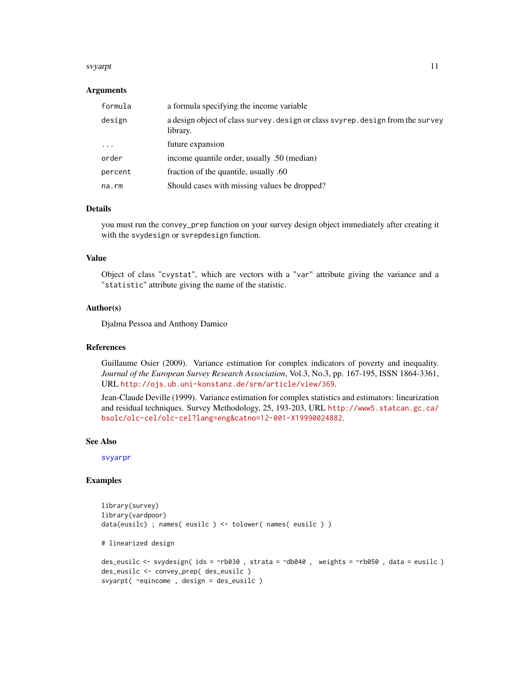#### <span id="page-10-0"></span>svyarpt to the state of the state of the state of the state of the state of the state of the state of the state of the state of the state of the state of the state of the state of the state of the state of the state of the

## Arguments

| formula    | a formula specifying the income variable                                                    |
|------------|---------------------------------------------------------------------------------------------|
| design     | a design object of class survey. design or class svyrep. design from the survey<br>library. |
| $\ddots$ . | future expansion                                                                            |
| order      | income quantile order, usually .50 (median)                                                 |
| percent    | fraction of the quantile, usually .60                                                       |
| na.rm      | Should cases with missing values be dropped?                                                |

# Details

you must run the convey\_prep function on your survey design object immediately after creating it with the svydesign or svrepdesign function.

# Value

Object of class "cvystat", which are vectors with a "var" attribute giving the variance and a "statistic" attribute giving the name of the statistic.

# Author(s)

Djalma Pessoa and Anthony Damico

# References

Guillaume Osier (2009). Variance estimation for complex indicators of poverty and inequality. *Journal of the European Survey Research Association*, Vol.3, No.3, pp. 167-195, ISSN 1864-3361, URL <http://ojs.ub.uni-konstanz.de/srm/article/view/369>.

Jean-Claude Deville (1999). Variance estimation for complex statistics and estimators: linearization and residual techniques. Survey Methodology, 25, 193-203, URL [http://www5.statcan.gc.ca/](http://www5.statcan.gc.ca/bsolc/olc-cel/olc-cel?lang=eng&catno=12-001-X19990024882) [bsolc/olc-cel/olc-cel?lang=eng&catno=12-001-X19990024882](http://www5.statcan.gc.ca/bsolc/olc-cel/olc-cel?lang=eng&catno=12-001-X19990024882).

#### See Also

[svyarpr](#page-7-1)

```
library(survey)
library(vardpoor)
data(eusilc) ; names( eusilc ) <- tolower( names( eusilc ) )
# linearized design
des_eusilc <- svydesign( ids = ~rb030 , strata = ~db040 , weights = ~rb050 , data = eusilc )
des_eusilc <- convey_prep( des_eusilc )
svyarpt( ~eqincome , design = des_eusilc )
```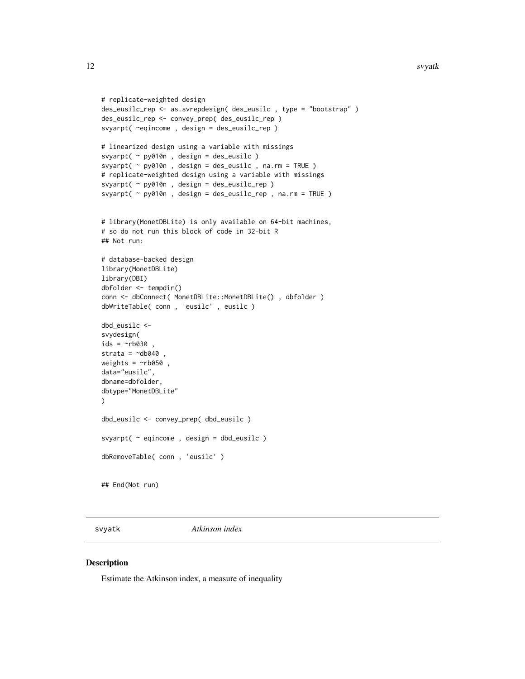#### <span id="page-11-0"></span>12 svyatk

```
# replicate-weighted design
des_eusilc_rep <- as.svrepdesign( des_eusilc , type = "bootstrap" )
des_eusilc_rep <- convey_prep( des_eusilc_rep )
svyarpt( ~eqincome , design = des_eusilc_rep )
# linearized design using a variable with missings
svyarpt( ~ py010n , design = des_eusilc )
svyarpt( ~ py010n , design = des_eusilc , na.rm = TRUE )
# replicate-weighted design using a variable with missings
svyarpt( ~ py010n , design = des_eusilc_rep )
svyarpt( ~ py010n , design = des_eusilc_rep , na.rm = TRUE )
# library(MonetDBLite) is only available on 64-bit machines,
# so do not run this block of code in 32-bit R
## Not run:
# database-backed design
library(MonetDBLite)
library(DBI)
dbfolder <- tempdir()
conn <- dbConnect( MonetDBLite::MonetDBLite() , dbfolder )
dbWriteTable( conn , 'eusilc' , eusilc )
dbd_eusilc <-
svydesign(
ids = \simrb030strata = \simdb040
weights = \negrb050,
data="eusilc",
dbname=dbfolder,
dbtype="MonetDBLite"
\mathcal{L}dbd_eusilc <- convey_prep( dbd_eusilc )
svyarpt( ~ eqincome , design = dbd_eusilc )
dbRemoveTable( conn , 'eusilc' )
## End(Not run)
```
<span id="page-11-1"></span>svyatk *Atkinson index*

# Description

Estimate the Atkinson index, a measure of inequality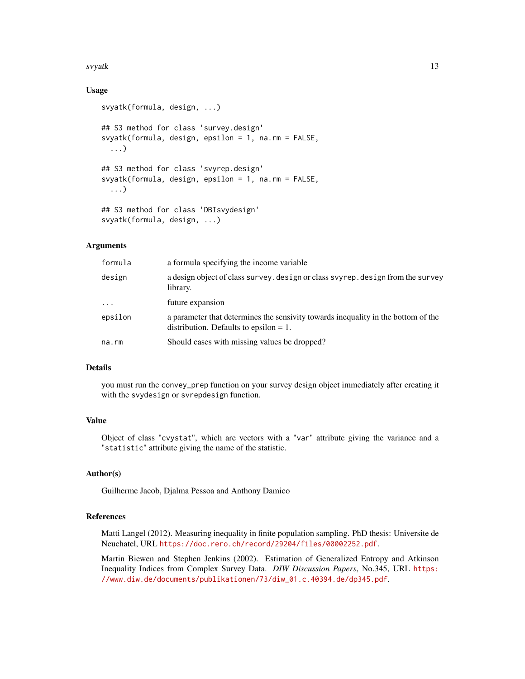#### svyatk and the state of the state of the state of the state of the state of the state of the state of the state of the state of the state of the state of the state of the state of the state of the state of the state of the

# Usage

```
svyatk(formula, design, ...)
## S3 method for class 'survey.design'
svyatk(formula, design, epsilon = 1, na.rm = FALSE,
  ...)
## S3 method for class 'svyrep.design'
svyatk(formula, design, epsilon = 1, na.rm = FALSE,
  ...)
## S3 method for class 'DBIsvydesign'
svyatk(formula, design, ...)
```
# Arguments

| formula    | a formula specifying the income variable                                                                                       |
|------------|--------------------------------------------------------------------------------------------------------------------------------|
| design     | a design object of class survey. design or class svyrep. design from the survey<br>library.                                    |
| $\ddots$ . | future expansion                                                                                                               |
| epsilon    | a parameter that determines the sensivity towards inequality in the bottom of the<br>distribution. Defaults to epsilon $= 1$ . |
| na.rm      | Should cases with missing values be dropped?                                                                                   |

# Details

you must run the convey\_prep function on your survey design object immediately after creating it with the svydesign or svrepdesign function.

# Value

Object of class "cvystat", which are vectors with a "var" attribute giving the variance and a "statistic" attribute giving the name of the statistic.

# Author(s)

Guilherme Jacob, Djalma Pessoa and Anthony Damico

## References

Matti Langel (2012). Measuring inequality in finite population sampling. PhD thesis: Universite de Neuchatel, URL <https://doc.rero.ch/record/29204/files/00002252.pdf>.

Martin Biewen and Stephen Jenkins (2002). Estimation of Generalized Entropy and Atkinson Inequality Indices from Complex Survey Data. *DIW Discussion Papers*, No.345, URL [https:](https://www.diw.de/documents/publikationen/73/diw_01.c.40394.de/dp345.pdf) [//www.diw.de/documents/publikationen/73/diw\\_01.c.40394.de/dp345.pdf](https://www.diw.de/documents/publikationen/73/diw_01.c.40394.de/dp345.pdf).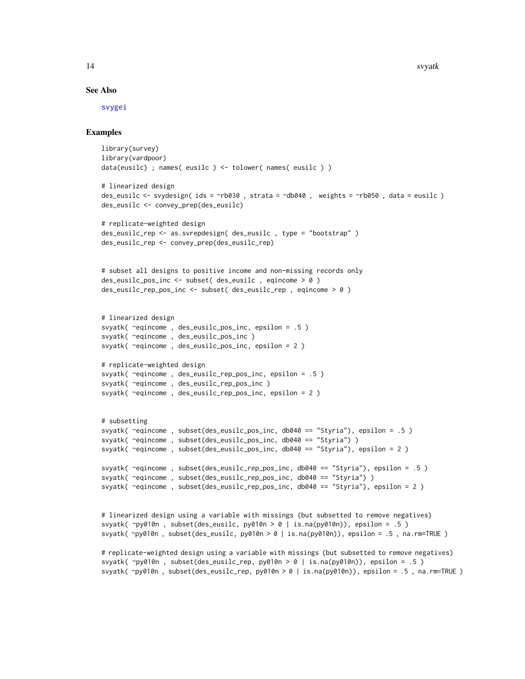#### See Also

[svygei](#page-18-1)

# Examples

```
library(survey)
library(vardpoor)
data(eusilc) ; names( eusilc ) <- tolower( names( eusilc ) )
# linearized design
des_eusilc <- svydesign( ids = ~rb030 , strata = ~db040 , weights = ~rb050 , data = eusilc )
des_eusilc <- convey_prep(des_eusilc)
# replicate-weighted design
des_eusilc_rep <- as.svrepdesign( des_eusilc , type = "bootstrap" )
des_eusilc_rep <- convey_prep(des_eusilc_rep)
# subset all designs to positive income and non-missing records only
des_eusilc_pos_inc <- subset( des_eusilc , eqincome > 0 )
des_eusilc_rep_pos_inc <- subset( des_eusilc_rep , eqincome > 0 )
# linearized design
svyatk( ~eqincome , des_eusilc_pos_inc, epsilon = .5 )
svyatk( ~eqincome , des_eusilc_pos_inc )
svyatk( ~eqincome , des_eusilc_pos_inc, epsilon = 2 )
# replicate-weighted design
svyatk( ~eqincome , des_eusilc_rep_pos_inc, epsilon = .5 )
svyatk( ~eqincome , des_eusilc_rep_pos_inc )
svyatk( ~eqincome , des_eusilc_rep_pos_inc, epsilon = 2 )
# subsetting
svyatk( ~eqincome , subset(des_eusilc_pos_inc, db040 == "Styria"), epsilon = .5 )
svyatk( ~eqincome , subset(des_eusilc_pos_inc, db040 == "Styria") )
svyatk( ~eqincome , subset(des_eusilc_pos_inc, db040 == "Styria"), epsilon = 2 )
svyatk( ~eqincome , subset(des_eusilc_rep_pos_inc, db040 == "Styria"), epsilon = .5 )
svyatk( ~eqincome , subset(des_eusilc_rep_pos_inc, db040 == "Styria") )
svyatk( ~eqincome , subset(des_eusilc_rep_pos_inc, db040 == "Styria"), epsilon = 2 )
# linearized design using a variable with missings (but subsetted to remove negatives)
svyatk(\gammapy010n, subset(des_eusilc, py010n > 0 | is.na(py010n)), epsilon = .5 )
svyatk( ~py010n , subset(des_eusilc, py010n > 0 | is.na(py010n)), epsilon = .5 , na.rm=TRUE )
# replicate-weighted design using a variable with missings (but subsetted to remove negatives)
```
svyatk( ~py010n , subset(des\_eusilc\_rep, py010n > 0 | is.na(py010n)), epsilon = .5 ) svyatk( ~py010n, subset(des\_eusilc\_rep, py010n > 0 | is.na(py010n)), epsilon = .5, na.rm=TRUE )

<span id="page-13-0"></span>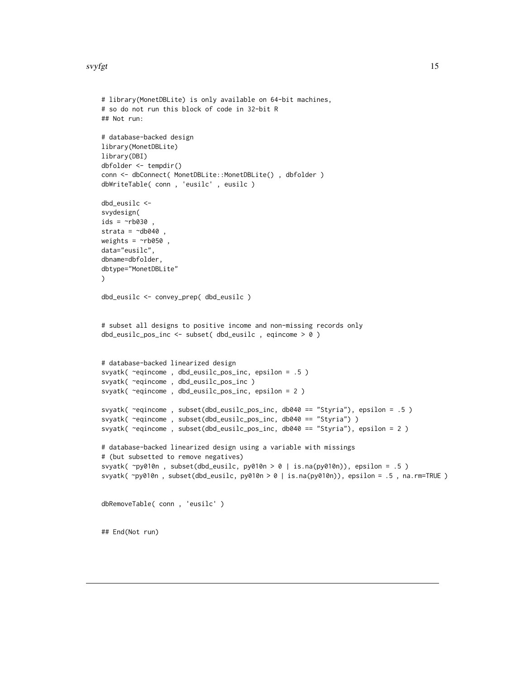#### <span id="page-14-0"></span>svyfgt til 15

```
# library(MonetDBLite) is only available on 64-bit machines,
# so do not run this block of code in 32-bit R
## Not run:
# database-backed design
library(MonetDBLite)
library(DBI)
dbfolder <- tempdir()
conn <- dbConnect( MonetDBLite::MonetDBLite() , dbfolder )
dbWriteTable( conn , 'eusilc' , eusilc )
dbd_eusilc <-
svydesign(
ids = \simrb030strata = \negdb040
weights = \nightharpoonuprb050,
data="eusilc",
dbname=dbfolder,
dbtype="MonetDBLite"
\mathcal{L}dbd_eusilc <- convey_prep( dbd_eusilc )
# subset all designs to positive income and non-missing records only
dbd_eusilc_pos_inc <- subset( dbd_eusilc , eqincome > 0 )
# database-backed linearized design
svyatk( ~eqincome , dbd_eusilc_pos_inc, epsilon = .5 )
svyatk( ~eqincome , dbd_eusilc_pos_inc )
svyatk( ~eqincome , dbd_eusilc_pos_inc, epsilon = 2 )
svyatk( ~eqincome , subset(dbd_eusilc_pos_inc, db040 == "Styria"), epsilon = .5 )
svyatk( ~eqincome, subset(dbd_eusilc_pos_inc, db040 == "Styria") )
svyatk( ~eqincome , subset(dbd_eusilc_pos_inc, db040 == "Styria"), epsilon = 2 )
# database-backed linearized design using a variable with missings
# (but subsetted to remove negatives)
svyatk( ~py010n , subset(dbd_eusilc, py010n > 0 | is.na(py010n)), epsilon = .5 )
svyatk( ~py010n , subset(dbd_eusilc, py010n > 0 | is.na(py010n)), epsilon = .5 , na.rm=TRUE )
dbRemoveTable( conn , 'eusilc' )
## End(Not run)
```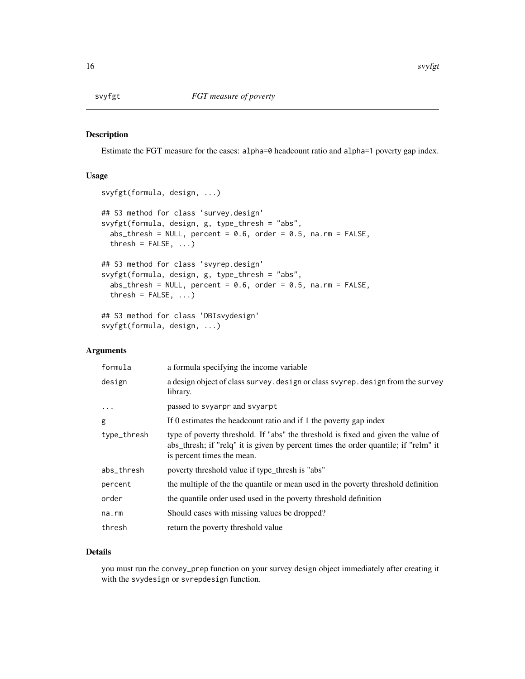<span id="page-15-0"></span>

# Description

Estimate the FGT measure for the cases: alpha=0 headcount ratio and alpha=1 poverty gap index.

# Usage

```
svyfgt(formula, design, ...)
## S3 method for class 'survey.design'
svyfgt(formula, design, g, type_thresh = "abs",
 abs_thresh = NULL, percent = 0.6, order = 0.5, na.rm = FALSE,
  thresh = FALSE, ...)
## S3 method for class 'svyrep.design'
svyfgt(formula, design, g, type_thresh = "abs",
  abs_{th} = NULL, percent = 0.6, order = 0.5, na.rm = FALSE,
  thresh = FALSE, ...)
## S3 method for class 'DBIsvydesign'
svyfgt(formula, design, ...)
```
# Arguments

| formula     | a formula specifying the income variable                                                                                                                                                               |
|-------------|--------------------------------------------------------------------------------------------------------------------------------------------------------------------------------------------------------|
| design      | a design object of class survey. design or class svyrep. design from the survey<br>library.                                                                                                            |
| .           | passed to svyarpr and svyarpt                                                                                                                                                                          |
| g           | If 0 estimates the headcount ratio and if 1 the poverty gap index                                                                                                                                      |
| type_thresh | type of poverty threshold. If "abs" the threshold is fixed and given the value of<br>abs_thresh; if "relq" it is given by percent times the order quantile; if "relm" it<br>is percent times the mean. |
| abs_thresh  | poverty threshold value if type_thresh is "abs"                                                                                                                                                        |
| percent     | the multiple of the the quantile or mean used in the poverty threshold definition                                                                                                                      |
| order       | the quantile order used used in the poverty threshold definition                                                                                                                                       |
| na.rm       | Should cases with missing values be dropped?                                                                                                                                                           |
| thresh      | return the poverty threshold value                                                                                                                                                                     |

# Details

you must run the convey\_prep function on your survey design object immediately after creating it with the svydesign or svrepdesign function.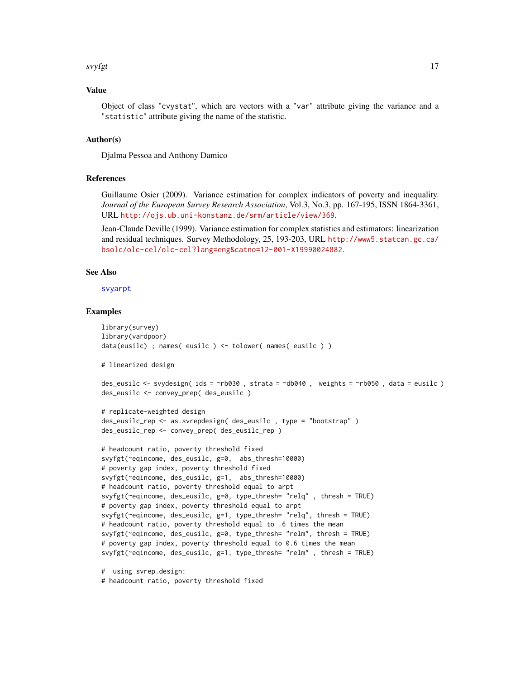#### <span id="page-16-0"></span>svyfgt til 17

# Value

Object of class "cvystat", which are vectors with a "var" attribute giving the variance and a "statistic" attribute giving the name of the statistic.

#### Author(s)

Djalma Pessoa and Anthony Damico

# References

Guillaume Osier (2009). Variance estimation for complex indicators of poverty and inequality. *Journal of the European Survey Research Association*, Vol.3, No.3, pp. 167-195, ISSN 1864-3361, URL <http://ojs.ub.uni-konstanz.de/srm/article/view/369>.

Jean-Claude Deville (1999). Variance estimation for complex statistics and estimators: linearization and residual techniques. Survey Methodology, 25, 193-203, URL [http://www5.statcan.gc.ca/](http://www5.statcan.gc.ca/bsolc/olc-cel/olc-cel?lang=eng&catno=12-001-X19990024882) [bsolc/olc-cel/olc-cel?lang=eng&catno=12-001-X19990024882](http://www5.statcan.gc.ca/bsolc/olc-cel/olc-cel?lang=eng&catno=12-001-X19990024882).

# See Also

[svyarpt](#page-9-1)

# Examples

```
library(survey)
library(vardpoor)
data(eusilc) ; names( eusilc ) <- tolower( names( eusilc ) )
# linearized design
```

```
des_eusilc <- svydesign( ids = ~rb030 , strata = ~db040 , weights = ~rb050 , data = eusilc )
des_eusilc <- convey_prep( des_eusilc )
```

```
# replicate-weighted design
des_eusilc_rep <- as.svrepdesign( des_eusilc , type = "bootstrap" )
des_eusilc_rep <- convey_prep( des_eusilc_rep )
```

```
# headcount ratio, poverty threshold fixed
svyfgt(~eqincome, des_eusilc, g=0, abs_thresh=10000)
# poverty gap index, poverty threshold fixed
svyfgt(~eqincome, des_eusilc, g=1, abs_thresh=10000)
# headcount ratio, poverty threshold equal to arpt
svyfgt(~eqincome, des_eusilc, g=0, type_thresh= "relq" , thresh = TRUE)
# poverty gap index, poverty threshold equal to arpt
svyfgt(~eqincome, des_eusilc, g=1, type_thresh= "relq", thresh = TRUE)
# headcount ratio, poverty threshold equal to .6 times the mean
svyfgt(~eqincome, des_eusilc, g=0, type_thresh= "relm", thresh = TRUE)
# poverty gap index, poverty threshold equal to 0.6 times the mean
svyfgt(~eqincome, des_eusilc, g=1, type_thresh= "relm" , thresh = TRUE)
```
# using svrep.design:

# headcount ratio, poverty threshold fixed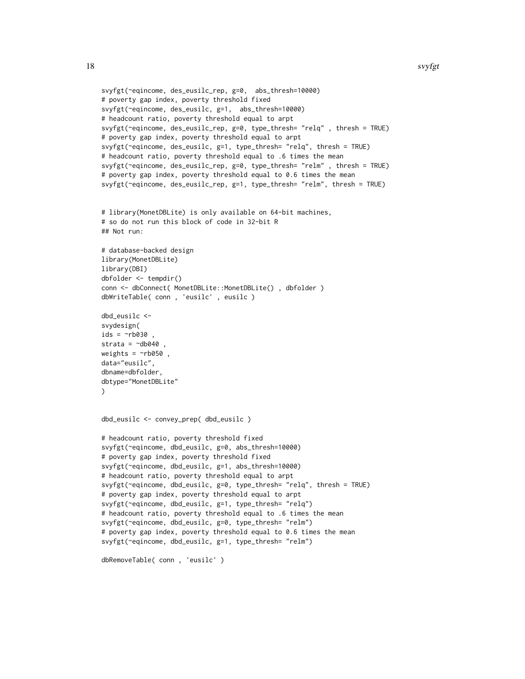```
svyfgt(~eqincome, des_eusilc_rep, g=0, abs_thresh=10000)
# poverty gap index, poverty threshold fixed
svyfgt(~eqincome, des_eusilc, g=1, abs_thresh=10000)
# headcount ratio, poverty threshold equal to arpt
svyfgt(~eqincome, des_eusilc_rep, g=0, type_thresh= "relq" , thresh = TRUE)
# poverty gap index, poverty threshold equal to arpt
svyfgt(~eqincome, des_eusilc, g=1, type_thresh= "relq", thresh = TRUE)
# headcount ratio, poverty threshold equal to .6 times the mean
svyfgt(~eqincome, des_eusilc_rep, g=0, type_thresh= "relm" , thresh = TRUE)
# poverty gap index, poverty threshold equal to 0.6 times the mean
svyfgt(~eqincome, des_eusilc_rep, g=1, type_thresh= "relm", thresh = TRUE)
# library(MonetDBLite) is only available on 64-bit machines,
# so do not run this block of code in 32-bit R
## Not run:
# database-backed design
library(MonetDBLite)
library(DBI)
dbfolder <- tempdir()
conn <- dbConnect( MonetDBLite::MonetDBLite() , dbfolder )
dbWriteTable( conn , 'eusilc' , eusilc )
dbd_eusilc <-
svydesign(
ids = \negrb030 ,
strata = \negdb040
weights = \negrb050,
data="eusilc",
dbname=dbfolder,
dbtype="MonetDBLite"
\lambdadbd_eusilc <- convey_prep( dbd_eusilc )
# headcount ratio, poverty threshold fixed
svyfgt(~eqincome, dbd_eusilc, g=0, abs_thresh=10000)
# poverty gap index, poverty threshold fixed
svyfgt(~eqincome, dbd_eusilc, g=1, abs_thresh=10000)
# headcount ratio, poverty threshold equal to arpt
svyfgt(~eqincome, dbd_eusilc, g=0, type_thresh= "relq", thresh = TRUE)
# poverty gap index, poverty threshold equal to arpt
svyfgt(~eqincome, dbd_eusilc, g=1, type_thresh= "relq")
# headcount ratio, poverty threshold equal to .6 times the mean
svyfgt(~eqincome, dbd_eusilc, g=0, type_thresh= "relm")
# poverty gap index, poverty threshold equal to 0.6 times the mean
svyfgt(~eqincome, dbd_eusilc, g=1, type_thresh= "relm")
dbRemoveTable( conn , 'eusilc' )
```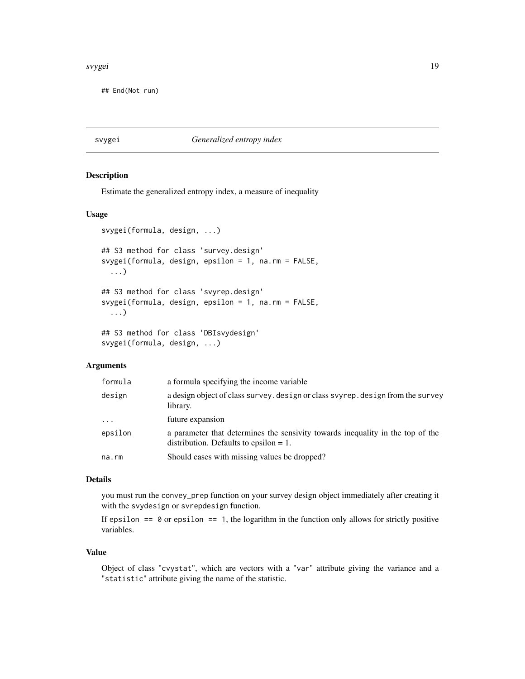#### <span id="page-18-0"></span>s*vygei* 19

## End(Not run)

<span id="page-18-1"></span>svygei *Generalized entropy index*

# Description

Estimate the generalized entropy index, a measure of inequality

# Usage

```
svygei(formula, design, ...)
## S3 method for class 'survey.design'
svygei(formula, design, epsilon = 1, na.rm = FALSE,
  ...)
## S3 method for class 'svyrep.design'
svygei(formula, design, epsilon = 1, na.rm = FALSE,
  ...)
## S3 method for class 'DBIsvydesign'
svygei(formula, design, ...)
```
# Arguments

| formula  | a formula specifying the income variable                                                                                    |
|----------|-----------------------------------------------------------------------------------------------------------------------------|
| design   | a design object of class survey. design or class svyrep. design from the survey<br>library.                                 |
| $\cdots$ | future expansion                                                                                                            |
| epsilon  | a parameter that determines the sensivity towards inequality in the top of the<br>distribution. Defaults to epsilon $= 1$ . |
| na.rm    | Should cases with missing values be dropped?                                                                                |

#### Details

you must run the convey\_prep function on your survey design object immediately after creating it with the svydesign or svrepdesign function.

If epsilon  $== 0$  or epsilon  $== 1$ , the logarithm in the function only allows for strictly positive variables.

# Value

Object of class "cvystat", which are vectors with a "var" attribute giving the variance and a "statistic" attribute giving the name of the statistic.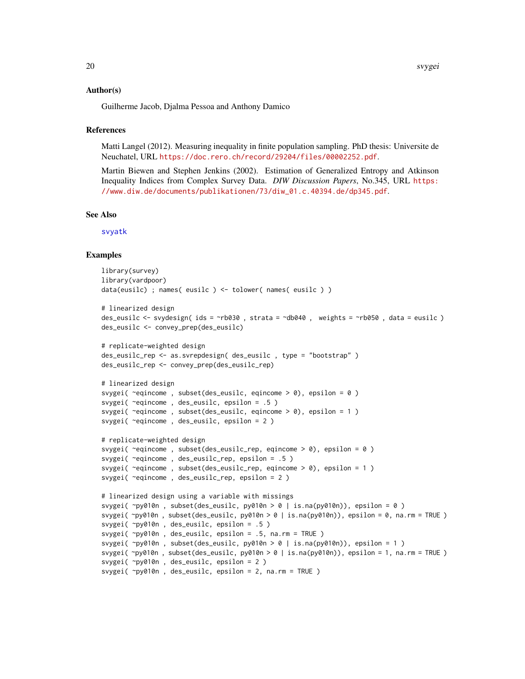#### <span id="page-19-0"></span>Author(s)

Guilherme Jacob, Djalma Pessoa and Anthony Damico

#### References

Matti Langel (2012). Measuring inequality in finite population sampling. PhD thesis: Universite de Neuchatel, URL <https://doc.rero.ch/record/29204/files/00002252.pdf>.

Martin Biewen and Stephen Jenkins (2002). Estimation of Generalized Entropy and Atkinson Inequality Indices from Complex Survey Data. *DIW Discussion Papers*, No.345, URL [https:](https://www.diw.de/documents/publikationen/73/diw_01.c.40394.de/dp345.pdf) [//www.diw.de/documents/publikationen/73/diw\\_01.c.40394.de/dp345.pdf](https://www.diw.de/documents/publikationen/73/diw_01.c.40394.de/dp345.pdf).

#### See Also

[svyatk](#page-11-1)

```
library(survey)
library(vardpoor)
data(eusilc) ; names( eusilc ) <- tolower( names( eusilc ) )
# linearized design
des_eusilc <- svydesign( ids = ~rb030 , strata = ~db040 , weights = ~rb050 , data = eusilc )
des_eusilc <- convey_prep(des_eusilc)
# replicate-weighted design
des_eusilc_rep <- as.svrepdesign( des_eusilc , type = "bootstrap" )
des_eusilc_rep <- convey_prep(des_eusilc_rep)
# linearized design
svygei( \text{degree}, subset(des_eusilc, eqincome > 0), epsilon = 0)
svygei( ~eqincome , des_eusilc, epsilon = .5 )
svygei( \text{``equicome}, \text{subset}(des\_eusile, \text{eqincome} > 0), \text{epsilon} = 1)svygei( ~eqincome , des_eusilc, epsilon = 2 )
# replicate-weighted design
svygei( ~eqincome , subset(des_eusilc_rep, eqincome > 0), epsilon = 0 )
svygei( ~eqincome , des_eusilc_rep, epsilon = .5 )
svygei( ~eqincome , subset(des_eusilc_rep, eqincome > 0), epsilon = 1 )
svygei( ~eqincome , des_eusilc_rep, epsilon = 2 )
# linearized design using a variable with missings
svygei( ~py010n , subset(des_eusilc, py010n > 0 | is.na(py010n)), epsilon = 0 )
svygei( ~py010n , subset(des_eusilc, py010n > 0 | is.na(py010n)), epsilon = 0, na.rm = TRUE )
svygei( ~py010n , des_eusilc, epsilon = .5 )
svygei( ~py010n , des_eusilc, epsilon = .5, na.rm = TRUE )
svygei( ~py010n , subset(des_eusilc, py010n > 0 | is.na(py010n)), epsilon = 1 )
svygei( ~py010n , subset(des_eusilc, py010n > 0 | is.na(py010n)), epsilon = 1, na.rm = TRUE )
svygei( ~py010n , des_eusilc, epsilon = 2 )
svygei( ~py010n , des_eusilc, epsilon = 2, na.rm = TRUE )
```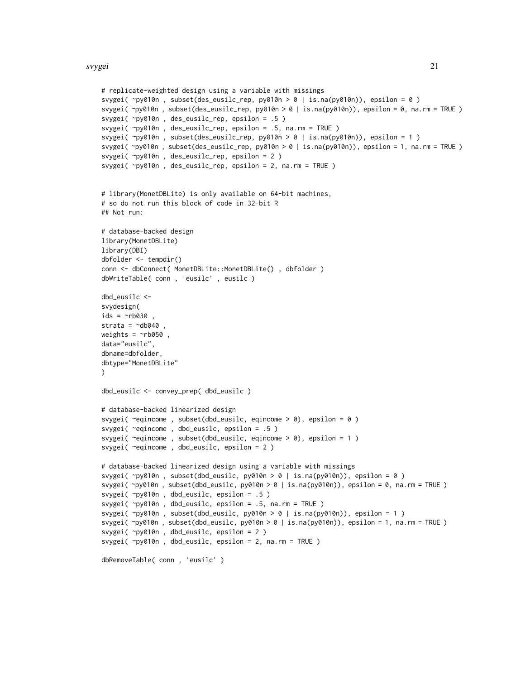```
# replicate-weighted design using a variable with missings
svygei( ~py010n , subset(des_eusilc_rep, py010n > 0 | is.na(py010n)), epsilon = 0 )
svygei( ~py010n , subset(des_eusilc_rep, py010n > 0 | is.na(py010n)), epsilon = 0, na.rm = TRUE )
svygei( ~py010n , des_eusilc_rep, epsilon = .5 )
svygei( ~py010n , des_eusilc_rep, epsilon = .5, na.rm = TRUE )
svygei( ~py010n , subset(des_eusilc_rep, py010n > 0 | is.na(py010n)), epsilon = 1 )
svygei( ~py010n, subset(des_eusilc_rep, py010n > 0 | is.na(py010n)), epsilon = 1, na.rm = TRUE )
svygei( ~py010n , des_eusilc_rep, epsilon = 2 )
svygei( ~py010n , des_eusilc_rep, epsilon = 2, na.rm = TRUE )
# library(MonetDBLite) is only available on 64-bit machines,
# so do not run this block of code in 32-bit R
## Not run:
# database-backed design
library(MonetDBLite)
library(DBI)
dbfolder <- tempdir()
conn <- dbConnect( MonetDBLite::MonetDBLite() , dbfolder )
dbWriteTable( conn , 'eusilc' , eusilc )
dbd_eusilc <-
svydesign(
ids = \negrb030
strata = \simdb040
weights = \nightharpoonuprb050,
data="eusilc",
dbname=dbfolder,
dbtype="MonetDBLite"
\lambdadbd_eusilc <- convey_prep( dbd_eusilc )
# database-backed linearized design
svygei( ~eqincome , subset(dbd_eusilc, eqincome > 0), epsilon = 0 )
svygei( ~eqincome , dbd_eusilc, epsilon = .5 )
svygei( ~eqincome , subset(dbd_eusilc, eqincome > 0), epsilon = 1 )
svygei( ~eqincome , dbd_eusilc, epsilon = 2 )
# database-backed linearized design using a variable with missings
svygei( ~py010n , subset(dbd_eusilc, py010n > 0 | is.na(py010n)), epsilon = 0 )
svygei( ~py010n , subset(dbd_eusilc, py010n > 0 | is.na(py010n)), epsilon = 0, na.rm = TRUE )
svygei( ~py010n , dbd_eusilc, epsilon = .5 )
svygei( ~py010n , dbd_eusilc, epsilon = .5, na.rm = TRUE )
svygei(\gammay010n, subset(dbd_eusilc, py010n > 0 | is.na(py010n)), epsilon = 1 )
svygei( ~py010n , subset(dbd_eusilc, py010n > 0 | is.na(py010n)), epsilon = 1, na.rm = TRUE )
svygei( ~py010n , dbd_eusilc, epsilon = 2 )
svygei( ~py010n , dbd_eusilc, epsilon = 2, na.rm = TRUE )
dbRemoveTable( conn , 'eusilc' )
```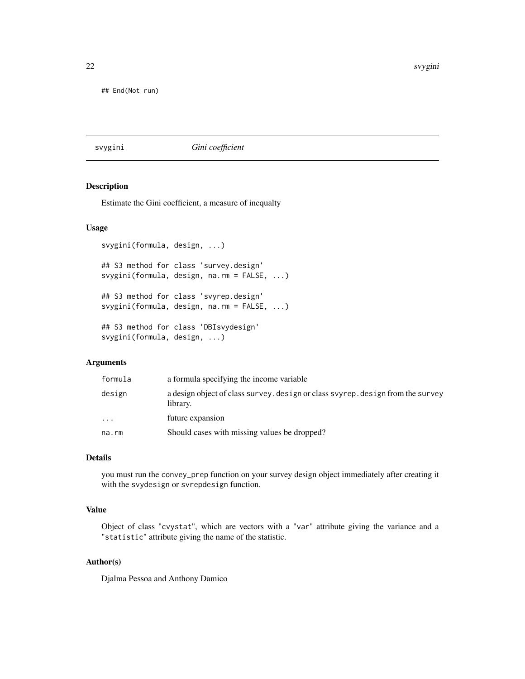<span id="page-21-0"></span>22 svygini

## End(Not run)

#### <span id="page-21-1"></span>svygini *Gini coefficient*

# Description

Estimate the Gini coefficient, a measure of inequalty

#### Usage

```
svygini(formula, design, ...)
## S3 method for class 'survey.design'
svygini(formula, design, na.rm = FALSE, ...)
## S3 method for class 'svyrep.design'
svygini(formula, design, na.rm = FALSE, ...)
## S3 method for class 'DBIsvydesign'
svygini(formula, design, ...)
```
# Arguments

| formula  | a formula specifying the income variable                                                    |
|----------|---------------------------------------------------------------------------------------------|
| design   | a design object of class survey, design or class svyrep, design from the survey<br>library. |
| $\cdots$ | future expansion                                                                            |
| na.rm    | Should cases with missing values be dropped?                                                |

# Details

you must run the convey\_prep function on your survey design object immediately after creating it with the svydesign or svrepdesign function.

# Value

Object of class "cvystat", which are vectors with a "var" attribute giving the variance and a "statistic" attribute giving the name of the statistic.

# Author(s)

Djalma Pessoa and Anthony Damico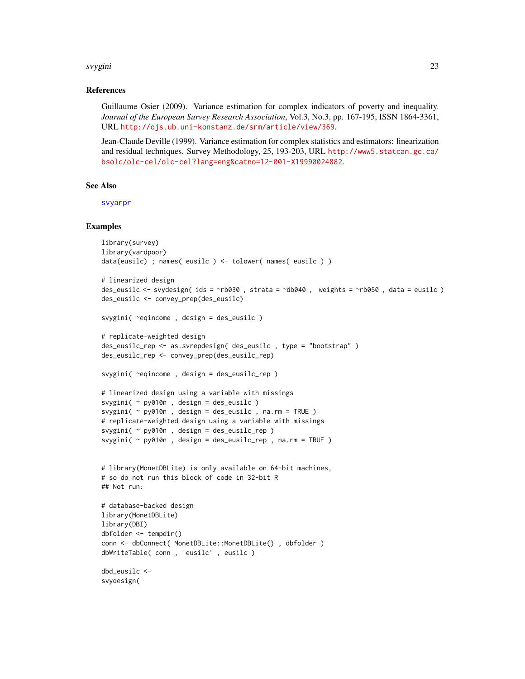#### <span id="page-22-0"></span>svygini 23

# References

Guillaume Osier (2009). Variance estimation for complex indicators of poverty and inequality. *Journal of the European Survey Research Association*, Vol.3, No.3, pp. 167-195, ISSN 1864-3361, URL <http://ojs.ub.uni-konstanz.de/srm/article/view/369>.

Jean-Claude Deville (1999). Variance estimation for complex statistics and estimators: linearization and residual techniques. Survey Methodology, 25, 193-203, URL [http://www5.statcan.gc.ca/](http://www5.statcan.gc.ca/bsolc/olc-cel/olc-cel?lang=eng&catno=12-001-X19990024882) [bsolc/olc-cel/olc-cel?lang=eng&catno=12-001-X19990024882](http://www5.statcan.gc.ca/bsolc/olc-cel/olc-cel?lang=eng&catno=12-001-X19990024882).

#### See Also

[svyarpr](#page-7-1)

#### Examples

```
library(survey)
library(vardpoor)
data(eusilc) ; names( eusilc ) <- tolower( names( eusilc ) )
# linearized design
des_eusilc <- svydesign( ids = ~rb030 , strata = ~db040 , weights = ~rb050 , data = eusilc )
des_eusilc <- convey_prep(des_eusilc)
svygini( ~eqincome , design = des_eusilc )
# replicate-weighted design
des_eusilc_rep <- as.svrepdesign( des_eusilc , type = "bootstrap" )
des_eusilc_rep <- convey_prep(des_eusilc_rep)
svygini( ~eqincome , design = des_eusilc_rep )
# linearized design using a variable with missings
svygini( ~ py010n , design = des_eusilc )
svygini( ~ py010n , design = des_eusilc , na.rm = TRUE )
# replicate-weighted design using a variable with missings
svygini( ~ py010n , design = des_eusilc_rep )
svygini( ~ py010n , design = des_eusilc_rep , na.rm = TRUE )
# library(MonetDBLite) is only available on 64-bit machines,
# so do not run this block of code in 32-bit R
## Not run:
# database-backed design
library(MonetDBLite)
```
library(DBI) dbfolder <- tempdir() conn <- dbConnect( MonetDBLite::MonetDBLite() , dbfolder ) dbWriteTable( conn , 'eusilc' , eusilc )

dbd\_eusilc < svydesign(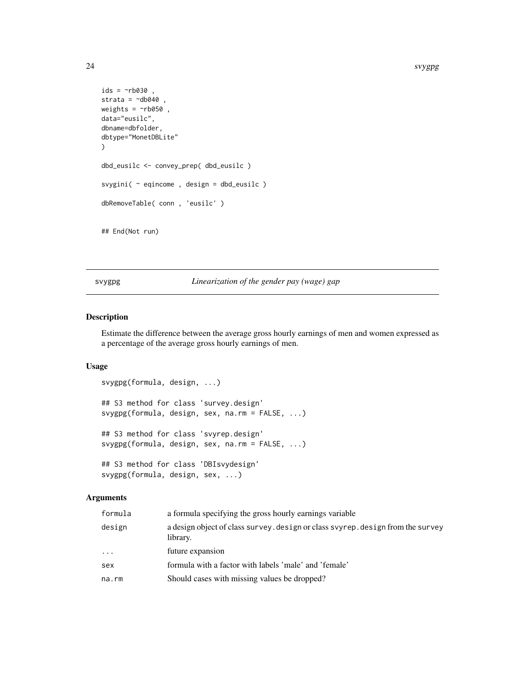```
ids = \negrb030,
strata = \simdb040,
weights = \negrb050,
data="eusilc",
dbname=dbfolder,
dbtype="MonetDBLite"
\mathcal{L}dbd_eusilc <- convey_prep( dbd_eusilc )
svygini( ~ eqincome , design = dbd_eusilc )
dbRemoveTable( conn , 'eusilc' )
## End(Not run)
```
svygpg *Linearization of the gender pay (wage) gap*

# Description

Estimate the difference between the average gross hourly earnings of men and women expressed as a percentage of the average gross hourly earnings of men.

#### Usage

```
svygpg(formula, design, ...)
## S3 method for class 'survey.design'
svygpg(formula, design, sex, na.rm = FALSE, ...)
## S3 method for class 'svyrep.design'
svygpg(formula, design, sex, na.rm = FALSE, ...)
## S3 method for class 'DBIsvydesign'
svygpg(formula, design, sex, ...)
```
# Arguments

| formula | a formula specifying the gross hourly earnings variable                                     |
|---------|---------------------------------------------------------------------------------------------|
| design  | a design object of class survey. design or class svyrep. design from the survey<br>library. |
| .       | future expansion                                                                            |
| sex     | formula with a factor with labels 'male' and 'female'                                       |
| na.rm   | Should cases with missing values be dropped?                                                |
|         |                                                                                             |

<span id="page-23-0"></span>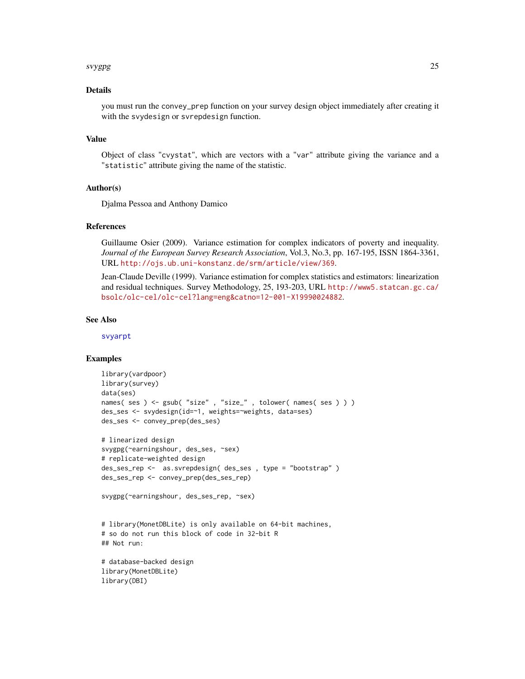#### <span id="page-24-0"></span>s*vygpg* 25

# Details

you must run the convey\_prep function on your survey design object immediately after creating it with the svydesign or svrepdesign function.

# Value

Object of class "cvystat", which are vectors with a "var" attribute giving the variance and a "statistic" attribute giving the name of the statistic.

# Author(s)

Djalma Pessoa and Anthony Damico

# References

Guillaume Osier (2009). Variance estimation for complex indicators of poverty and inequality. *Journal of the European Survey Research Association*, Vol.3, No.3, pp. 167-195, ISSN 1864-3361, URL <http://ojs.ub.uni-konstanz.de/srm/article/view/369>.

Jean-Claude Deville (1999). Variance estimation for complex statistics and estimators: linearization and residual techniques. Survey Methodology, 25, 193-203, URL [http://www5.statcan.gc.ca/](http://www5.statcan.gc.ca/bsolc/olc-cel/olc-cel?lang=eng&catno=12-001-X19990024882) [bsolc/olc-cel/olc-cel?lang=eng&catno=12-001-X19990024882](http://www5.statcan.gc.ca/bsolc/olc-cel/olc-cel?lang=eng&catno=12-001-X19990024882).

# See Also

[svyarpt](#page-9-1)

```
library(vardpoor)
library(survey)
data(ses)
names( ses ) <- gsub( "size", "size_", tolower( names( ses ) ) )
des_ses <- svydesign(id=~1, weights=~weights, data=ses)
des_ses <- convey_prep(des_ses)
# linearized design
svygpg(~earningshour, des_ses, ~sex)
# replicate-weighted design
des_ses_rep <- as.svrepdesign( des_ses , type = "bootstrap" )
des_ses_rep <- convey_prep(des_ses_rep)
svygpg(~earningshour, des_ses_rep, ~sex)
# library(MonetDBLite) is only available on 64-bit machines,
# so do not run this block of code in 32-bit R
## Not run:
# database-backed design
library(MonetDBLite)
library(DBI)
```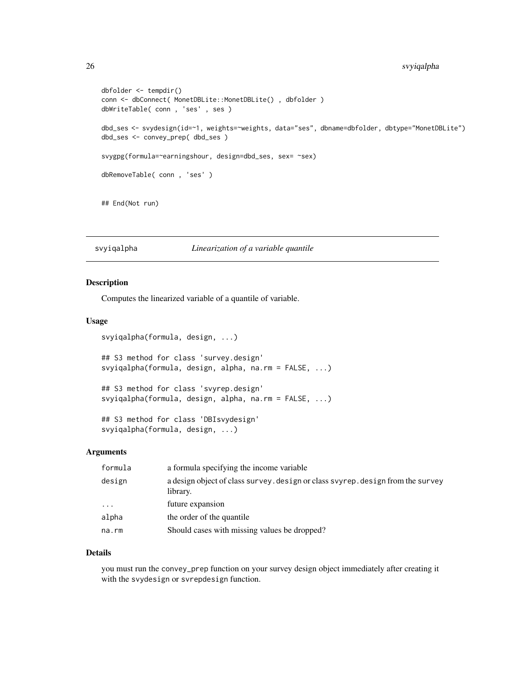# <span id="page-25-0"></span>26 svyiqalpha

```
dbfolder <- tempdir()
conn <- dbConnect( MonetDBLite::MonetDBLite() , dbfolder )
dbWriteTable( conn , 'ses' , ses )
dbd_ses <- svydesign(id=~1, weights=~weights, data="ses", dbname=dbfolder, dbtype="MonetDBLite")
dbd_ses <- convey_prep( dbd_ses )
svygpg(formula=~earningshour, design=dbd_ses, sex= ~sex)
dbRemoveTable( conn , 'ses' )
## End(Not run)
```
svyiqalpha *Linearization of a variable quantile*

# Description

Computes the linearized variable of a quantile of variable.

#### Usage

```
svyiqalpha(formula, design, ...)
## S3 method for class 'survey.design'
svyiqalpha(formula, design, alpha, na.rm = FALSE, ...)
## S3 method for class 'svyrep.design'
svyiqalpha(formula, design, alpha, na.rm = FALSE, ...)
## S3 method for class 'DBIsvydesign'
svyiqalpha(formula, design, ...)
```
# Arguments

| formula | a formula specifying the income variable                                                    |
|---------|---------------------------------------------------------------------------------------------|
| design  | a design object of class survey, design or class svyrep, design from the survey<br>library. |
| $\cdot$ | future expansion                                                                            |
| alpha   | the order of the quantile                                                                   |
| na.rm   | Should cases with missing values be dropped?                                                |

# Details

you must run the convey\_prep function on your survey design object immediately after creating it with the svydesign or svrepdesign function.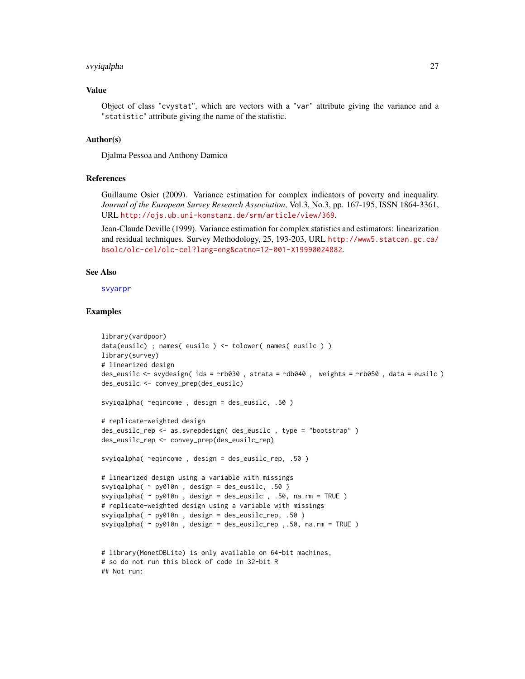#### <span id="page-26-0"></span>svyiqalpha 27

# Value

Object of class "cvystat", which are vectors with a "var" attribute giving the variance and a "statistic" attribute giving the name of the statistic.

# Author(s)

Djalma Pessoa and Anthony Damico

# References

Guillaume Osier (2009). Variance estimation for complex indicators of poverty and inequality. *Journal of the European Survey Research Association*, Vol.3, No.3, pp. 167-195, ISSN 1864-3361, URL <http://ojs.ub.uni-konstanz.de/srm/article/view/369>.

Jean-Claude Deville (1999). Variance estimation for complex statistics and estimators: linearization and residual techniques. Survey Methodology, 25, 193-203, URL [http://www5.statcan.gc.ca/](http://www5.statcan.gc.ca/bsolc/olc-cel/olc-cel?lang=eng&catno=12-001-X19990024882) [bsolc/olc-cel/olc-cel?lang=eng&catno=12-001-X19990024882](http://www5.statcan.gc.ca/bsolc/olc-cel/olc-cel?lang=eng&catno=12-001-X19990024882).

# See Also

[svyarpr](#page-7-1)

```
library(vardpoor)
data(eusilc) ; names( eusilc ) <- tolower( names( eusilc ) )
library(survey)
# linearized design
des_eusilc <- svydesign( ids = ~rb030 , strata = ~db040 , weights = ~rb050 , data = eusilc )
des_eusilc <- convey_prep(des_eusilc)
svyiqalpha( ~eqincome , design = des_eusilc, .50 )
# replicate-weighted design
des_eusilc_rep <- as.svrepdesign( des_eusilc , type = "bootstrap" )
des_eusilc_rep <- convey_prep(des_eusilc_rep)
svyiqalpha( ~eqincome , design = des_eusilc_rep, .50 )
# linearized design using a variable with missings
svyiqalpha( ~ py010n , design = des_eusilc, .50 )
svyiqalpha( ~ py010n , design = des_eusilc , .50, na.rm = TRUE )
# replicate-weighted design using a variable with missings
svyiqalpha( ~ py010n , design = des_eusilc_rep, .50 )
svyiqalpha( ~ py010n , design = des_eusilc_rep ,.50, na.rm = TRUE )
# library(MonetDBLite) is only available on 64-bit machines,
# so do not run this block of code in 32-bit R
```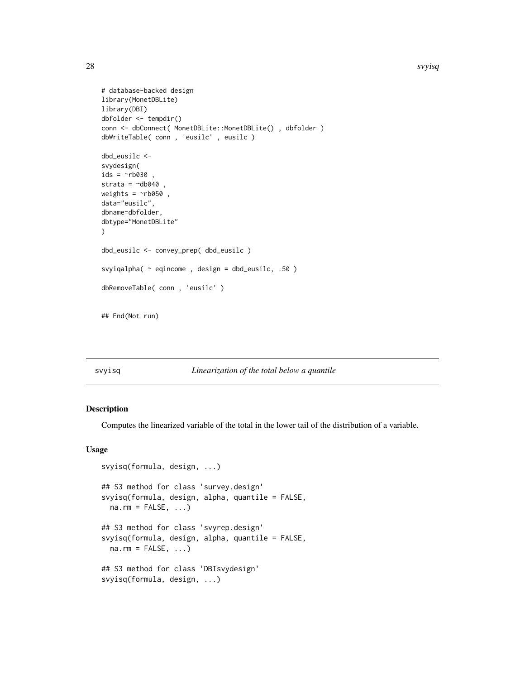```
# database-backed design
library(MonetDBLite)
library(DBI)
dbfolder <- tempdir()
conn <- dbConnect( MonetDBLite::MonetDBLite() , dbfolder )
dbWriteTable( conn , 'eusilc' , eusilc )
dbd_eusilc <-
svydesign(
ids = \simrb030,
strata = \negdb040
weights = \nightharpoonuprb050,
data="eusilc",
dbname=dbfolder,
dbtype="MonetDBLite"
\mathcal{L}dbd_eusilc <- convey_prep( dbd_eusilc )
svyiqalpha( ~ eqincome , design = dbd_eusilc, .50 )
dbRemoveTable( conn , 'eusilc' )
## End(Not run)
```
#### svyisq *Linearization of the total below a quantile*

#### Description

Computes the linearized variable of the total in the lower tail of the distribution of a variable.

#### Usage

```
svyisq(formula, design, ...)
## S3 method for class 'survey.design'
svyisq(formula, design, alpha, quantile = FALSE,
 na.rm = FALSE, ...)## S3 method for class 'svyrep.design'
svyisq(formula, design, alpha, quantile = FALSE,
 na.rm = FALSE, ...)## S3 method for class 'DBIsvydesign'
svyisq(formula, design, ...)
```
<span id="page-27-0"></span>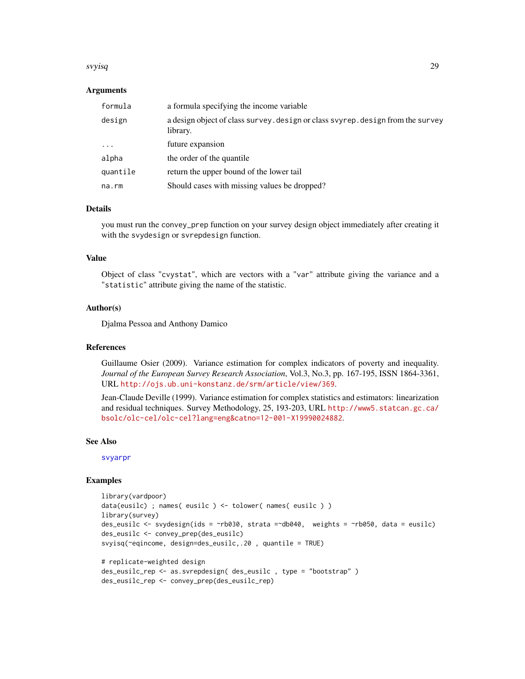#### <span id="page-28-0"></span>svyisq 29

# Arguments

| formula  | a formula specifying the income variable                                                    |
|----------|---------------------------------------------------------------------------------------------|
| design   | a design object of class survey. design or class svyrep. design from the survey<br>library. |
| $\cdot$  | future expansion                                                                            |
| alpha    | the order of the quantile                                                                   |
| quantile | return the upper bound of the lower tail                                                    |
| na.rm    | Should cases with missing values be dropped?                                                |

# Details

you must run the convey\_prep function on your survey design object immediately after creating it with the svydesign or svrepdesign function.

# Value

Object of class "cvystat", which are vectors with a "var" attribute giving the variance and a "statistic" attribute giving the name of the statistic.

# Author(s)

Djalma Pessoa and Anthony Damico

# **References**

Guillaume Osier (2009). Variance estimation for complex indicators of poverty and inequality. *Journal of the European Survey Research Association*, Vol.3, No.3, pp. 167-195, ISSN 1864-3361, URL <http://ojs.ub.uni-konstanz.de/srm/article/view/369>.

Jean-Claude Deville (1999). Variance estimation for complex statistics and estimators: linearization and residual techniques. Survey Methodology, 25, 193-203, URL [http://www5.statcan.gc.ca/](http://www5.statcan.gc.ca/bsolc/olc-cel/olc-cel?lang=eng&catno=12-001-X19990024882) [bsolc/olc-cel/olc-cel?lang=eng&catno=12-001-X19990024882](http://www5.statcan.gc.ca/bsolc/olc-cel/olc-cel?lang=eng&catno=12-001-X19990024882).

#### See Also

[svyarpr](#page-7-1)

```
library(vardpoor)
data(eusilc) ; names( eusilc ) <- tolower( names( eusilc ) )
library(survey)
des_eusilc <- svydesign(ids = ~rb030, strata =~db040, weights = ~rb050, data = eusilc)
des_eusilc <- convey_prep(des_eusilc)
svyisq(~eqincome, design=des_eusilc,.20 , quantile = TRUE)
# replicate-weighted design
```

```
des_eusilc_rep <- as.svrepdesign( des_eusilc , type = "bootstrap" )
des_eusilc_rep <- convey_prep(des_eusilc_rep)
```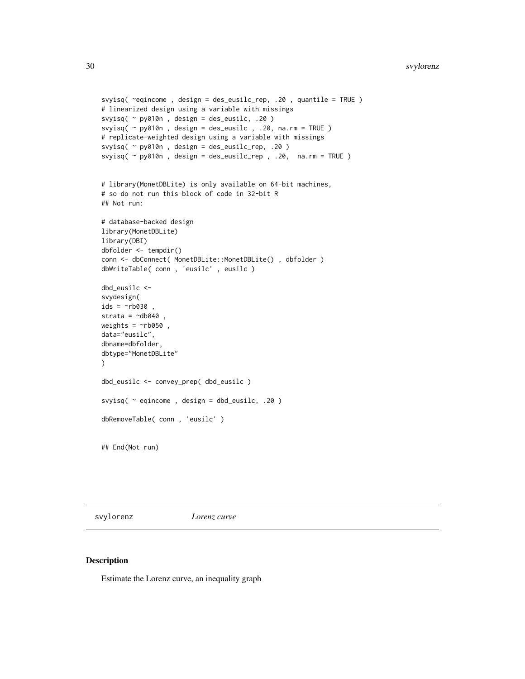```
svyisq( ~eqincome , design = des_eusilc_rep, .20 , quantile = TRUE )
# linearized design using a variable with missings
svyisq( ~ py010n , design = des_eusilc, .20 )
svyisq( \sim py010n, design = des_eusilc, .20, na.rm = TRUE )
# replicate-weighted design using a variable with missings
svyisq( ~ py010n , design = des_eusilc_rep, .20 )
svyisq( ~ py010n , design = des_eusilc_rep , .20, na.rm = TRUE )
# library(MonetDBLite) is only available on 64-bit machines,
# so do not run this block of code in 32-bit R
## Not run:
# database-backed design
library(MonetDBLite)
library(DBI)
dbfolder <- tempdir()
conn <- dbConnect( MonetDBLite::MonetDBLite(), dbfolder )
dbWriteTable( conn , 'eusilc' , eusilc )
dbd_eusilc <-
svydesign(
ids = \nightharpoonuprb030 ,
strata = \simdb040
weights = \negrb050,
data="eusilc",
dbname=dbfolder,
dbtype="MonetDBLite"
\lambdadbd_eusilc <- convey_prep( dbd_eusilc )
svyisq( ~ eqincome , design = dbd_eusilc, .20 )
dbRemoveTable( conn , 'eusilc' )
## End(Not run)
```
svylorenz *Lorenz curve*

# Description

Estimate the Lorenz curve, an inequality graph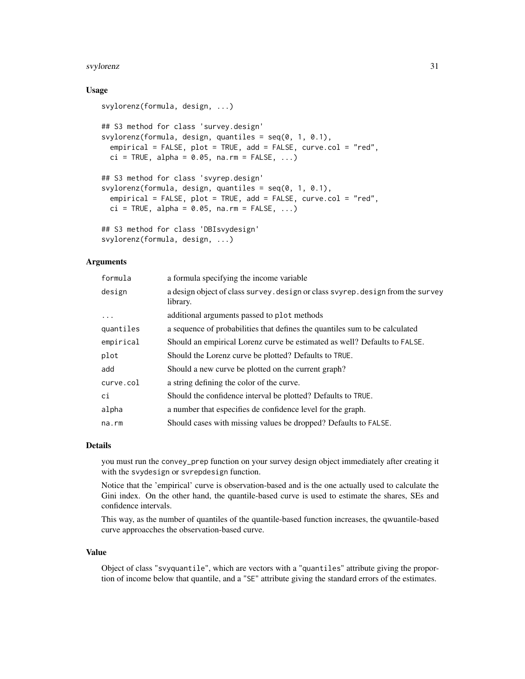#### svylorenz 31

# Usage

```
svylorenz(formula, design, ...)
## S3 method for class 'survey.design'
svylorenz(formula, design, quantiles = seq(0, 1, 0.1),
 empirical = FALSE, plot = TRUE, add = FALSE, curve.col = "red",
 ci = TRUE, alpha = 0.05, na.rm = FALSE, ...)## S3 method for class 'svyrep.design'
svylorenz(formula, design, quantiles = seq(0, 1, 0.1),
 empirical = FALSE, plot = TRUE, add = FALSE, curve.col = "red",
 ci = TRUE, alpha = 0.05, na.rm = FALSE, ...)## S3 method for class 'DBIsvydesign'
```
# svylorenz(formula, design, ...)

# Arguments

| formula   | a formula specifying the income variable                                                    |
|-----------|---------------------------------------------------------------------------------------------|
| design    | a design object of class survey. design or class svyrep. design from the survey<br>library. |
| $\ddots$  | additional arguments passed to plot methods                                                 |
| quantiles | a sequence of probabilities that defines the quantiles sum to be calculated                 |
| empirical | Should an empirical Lorenz curve be estimated as well? Defaults to FALSE.                   |
| plot      | Should the Lorenz curve be plotted? Defaults to TRUE.                                       |
| add       | Should a new curve be plotted on the current graph?                                         |
| curve.col | a string defining the color of the curve.                                                   |
| ci        | Should the confidence interval be plotted? Defaults to TRUE.                                |
| alpha     | a number that especifies de confidence level for the graph.                                 |
| na.rm     | Should cases with missing values be dropped? Defaults to FALSE.                             |

#### Details

you must run the convey\_prep function on your survey design object immediately after creating it with the svydesign or svrepdesign function.

Notice that the 'empirical' curve is observation-based and is the one actually used to calculate the Gini index. On the other hand, the quantile-based curve is used to estimate the shares, SEs and confidence intervals.

This way, as the number of quantiles of the quantile-based function increases, the qwuantile-based curve approacches the observation-based curve.

# Value

Object of class "svyquantile", which are vectors with a "quantiles" attribute giving the proportion of income below that quantile, and a "SE" attribute giving the standard errors of the estimates.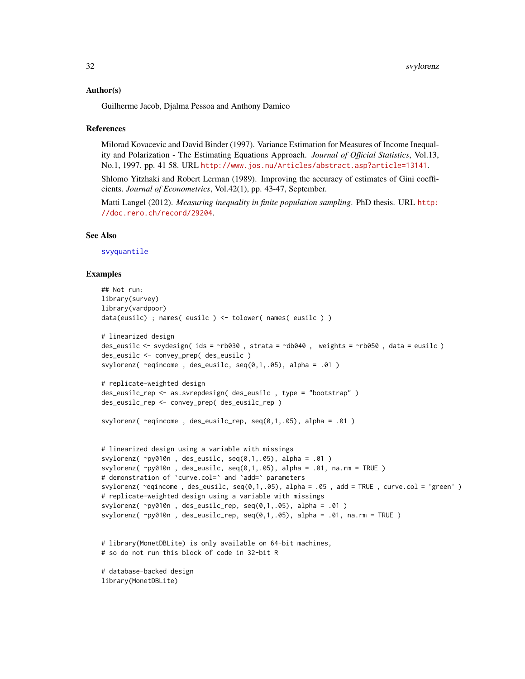# <span id="page-31-0"></span>Author(s)

Guilherme Jacob, Djalma Pessoa and Anthony Damico

#### References

Milorad Kovacevic and David Binder (1997). Variance Estimation for Measures of Income Inequality and Polarization - The Estimating Equations Approach. *Journal of Official Statistics*, Vol.13, No.1, 1997. pp. 41 58. URL <http://www.jos.nu/Articles/abstract.asp?article=13141>.

Shlomo Yitzhaki and Robert Lerman (1989). Improving the accuracy of estimates of Gini coefficients. *Journal of Econometrics*, Vol.42(1), pp. 43-47, September.

Matti Langel (2012). *Measuring inequality in finite population sampling*. PhD thesis. URL [http:](http://doc.rero.ch/record/29204) [//doc.rero.ch/record/29204](http://doc.rero.ch/record/29204).

# See Also

[svyquantile](#page-0-0)

# Examples

```
## Not run:
library(survey)
library(vardpoor)
data(eusilc) ; names( eusilc ) <- tolower( names( eusilc ) )
# linearized design
des_eusilc \le svydesign( ids = \simrb030, strata = \simdb040, weights = \simrb050, data = eusilc)
des_eusilc <- convey_prep( des_eusilc )
svylorenz( ~eqincome , des_eusilc, seq(0,1,.05), alpha = .01 )
# replicate-weighted design
des_eusilc_rep <- as.svrepdesign( des_eusilc , type = "bootstrap" )
des_eusilc_rep <- convey_prep( des_eusilc_rep )
svylorenz( ~eqincome , des_eusilc_rep, seq(0,1,.05), alpha = .01 )
# linearized design using a variable with missings
svylorenz(\negpy010n, des_eusilc, seq(0,1,.05), alpha = .01)
svylorenz(\gammapy010n, des_eusilc, seq(0,1,.05), alpha = .01, na.rm = TRUE)
# demonstration of `curve.col=` and `add=` parameters
svylorenz( \text{ceq}income, des_eusilc, seq(0,1,.05), alpha = .05, add = TRUE, curve.col = 'green')
# replicate-weighted design using a variable with missings
svylorenz(\gammapy010n, des_eusilc_rep, seq(0,1,.05), alpha = .01)
svylorenz(\gammapy010n, des_eusilc_rep, seq(0,1,.05), alpha = .01, na.rm = TRUE)
# library(MonetDBLite) is only available on 64-bit machines,
# so do not run this block of code in 32-bit R
# database-backed design
```
library(MonetDBLite)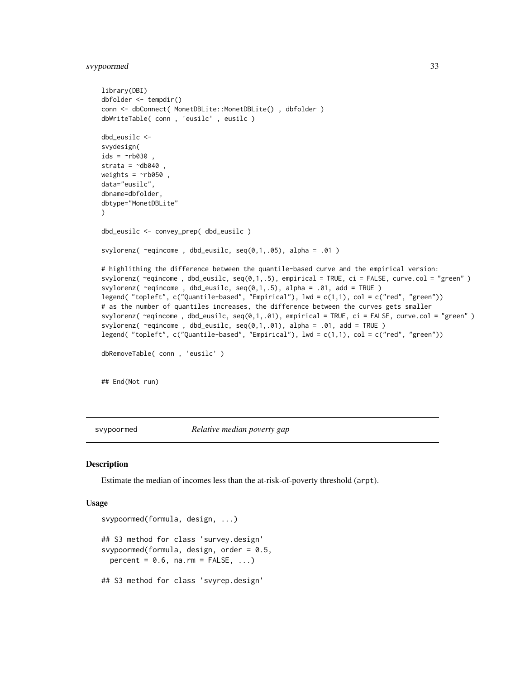# <span id="page-32-0"></span>svypoormed 33

```
library(DBI)
dbfolder <- tempdir()
conn <- dbConnect( MonetDBLite::MonetDBLite() , dbfolder )
dbWriteTable( conn , 'eusilc' , eusilc )
dbd_eusilc <-
svydesign(
ids = \sim b030,
strata = \simdb040,
weights = \nightharpoonuprb050,
data="eusilc",
dbname=dbfolder,
dbtype="MonetDBLite"
)
dbd_eusilc <- convey_prep( dbd_eusilc )
svylorenz( ~eqincome , dbd_eusilc, seq(0,1,.05), alpha = .01 )
# highlithing the difference between the quantile-based curve and the empirical version:
svylorenz( ~eqincome , dbd_eusilc, seq(0,1,.5), empirical = TRUE, ci = FALSE, curve.col = "green" )
svylorenz( ~eqincome , dbd_eusilc, seq(0,1,.5), alpha = .01, add = TRUE )
legend( "topleft", c("Quantile-based", "Empirical"), lwd = c(1,1), col = c("red", "green"))
# as the number of quantiles increases, the difference between the curves gets smaller
svylorenz( ~eqincome , dbd_eusilc, seq(0,1,.01), empirical = TRUE, ci = FALSE, curve.col = "green" )
svylorenz( ~eqincome , dbd_eusilc, seq(0,1,.01), alpha = .01, add = TRUE )
legend( "topleft", c("Quantile-based", "Empirical"), lwd = c(1,1), col = c("red", "green"))
dbRemoveTable( conn , 'eusilc' )
## End(Not run)
```
svypoormed *Relative median poverty gap*

# Description

Estimate the median of incomes less than the at-risk-of-poverty threshold (arpt).

#### Usage

```
svypoormed(formula, design, ...)
## S3 method for class 'survey.design'
svypoormed(formula, design, order = 0.5,
 percent = 0.6, na.rm = FALSE, ...## S3 method for class 'svyrep.design'
```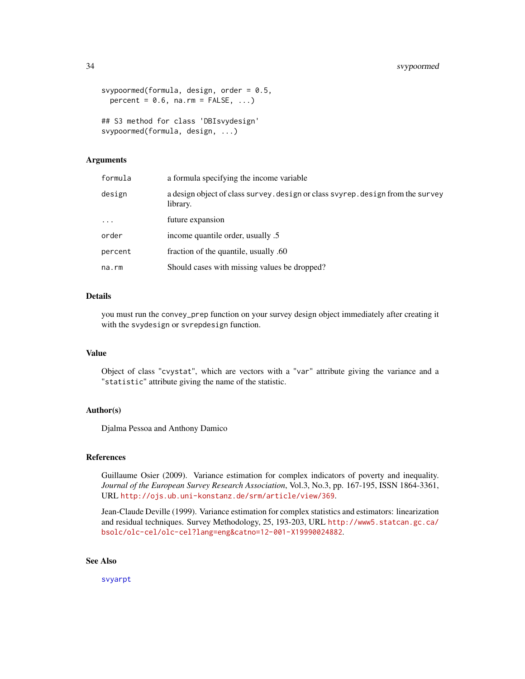```
svypoormed(formula, design, order = 0.5,
 percent = 0.6, na.rm = FALSE, ...)
## S3 method for class 'DBIsvydesign'
svypoormed(formula, design, ...)
```
#### Arguments

| formula  | a formula specifying the income variable                                                    |
|----------|---------------------------------------------------------------------------------------------|
| design   | a design object of class survey. design or class svyrep. design from the survey<br>library. |
| $\cdots$ | future expansion                                                                            |
| order    | income quantile order, usually .5                                                           |
| percent  | fraction of the quantile, usually .60                                                       |
| na.rm    | Should cases with missing values be dropped?                                                |

# Details

you must run the convey\_prep function on your survey design object immediately after creating it with the svydesign or svrepdesign function.

# Value

Object of class "cvystat", which are vectors with a "var" attribute giving the variance and a "statistic" attribute giving the name of the statistic.

# Author(s)

Djalma Pessoa and Anthony Damico

# References

Guillaume Osier (2009). Variance estimation for complex indicators of poverty and inequality. *Journal of the European Survey Research Association*, Vol.3, No.3, pp. 167-195, ISSN 1864-3361, URL <http://ojs.ub.uni-konstanz.de/srm/article/view/369>.

Jean-Claude Deville (1999). Variance estimation for complex statistics and estimators: linearization and residual techniques. Survey Methodology, 25, 193-203, URL [http://www5.statcan.gc.ca/](http://www5.statcan.gc.ca/bsolc/olc-cel/olc-cel?lang=eng&catno=12-001-X19990024882) [bsolc/olc-cel/olc-cel?lang=eng&catno=12-001-X19990024882](http://www5.statcan.gc.ca/bsolc/olc-cel/olc-cel?lang=eng&catno=12-001-X19990024882).

# See Also

[svyarpt](#page-9-1)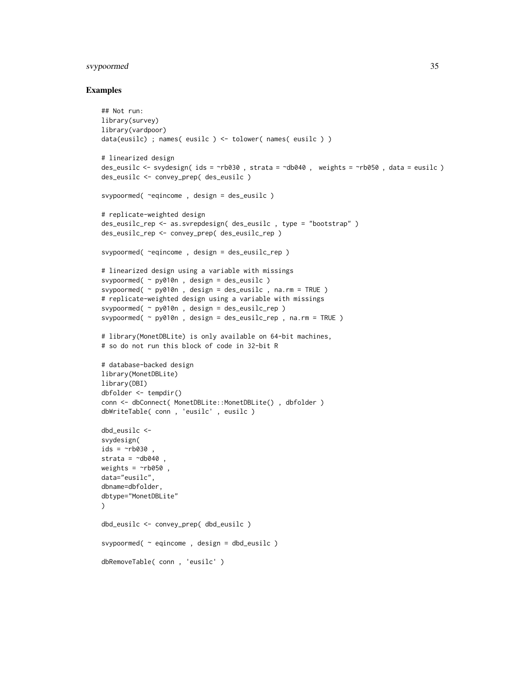# svypoormed 35

```
## Not run:
library(survey)
library(vardpoor)
data(eusilc) ; names( eusilc ) <- tolower( names( eusilc ) )
# linearized design
des_eusilc <- svydesign( ids = ~rb030 , strata = ~db040 , weights = ~rb050 , data = eusilc )
des_eusilc <- convey_prep( des_eusilc )
svypoormed( ~eqincome , design = des_eusilc )
# replicate-weighted design
des_eusilc_rep <- as.svrepdesign( des_eusilc , type = "bootstrap" )
des_eusilc_rep <- convey_prep( des_eusilc_rep )
svypoormed( ~eqincome , design = des_eusilc_rep )
# linearized design using a variable with missings
svypoormed( ~ py010n , design = des_eusilc )
svypoormed( ~ py010n , design = des_eusilc , na.rm = TRUE )
# replicate-weighted design using a variable with missings
svypoormed( ~ py010n , design = des_eusilc_rep )
svypoormed( ~ py010n , design = des_eusilc_rep , na.rm = TRUE )
# library(MonetDBLite) is only available on 64-bit machines,
# so do not run this block of code in 32-bit R
# database-backed design
library(MonetDBLite)
library(DBI)
dbfolder <- tempdir()
conn <- dbConnect( MonetDBLite::MonetDBLite() , dbfolder )
dbWriteTable( conn , 'eusilc' , eusilc )
dbd_eusilc <-
svydesign(
ids = \nightharpoonuprb030
strata = \negdb040
weights = \nightharpoonuprb050,
data="eusilc",
dbname=dbfolder,
dbtype="MonetDBLite"
)
dbd_eusilc <- convey_prep( dbd_eusilc )
svypoormed( ~ eqincome , design = dbd_eusilc )
dbRemoveTable( conn , 'eusilc' )
```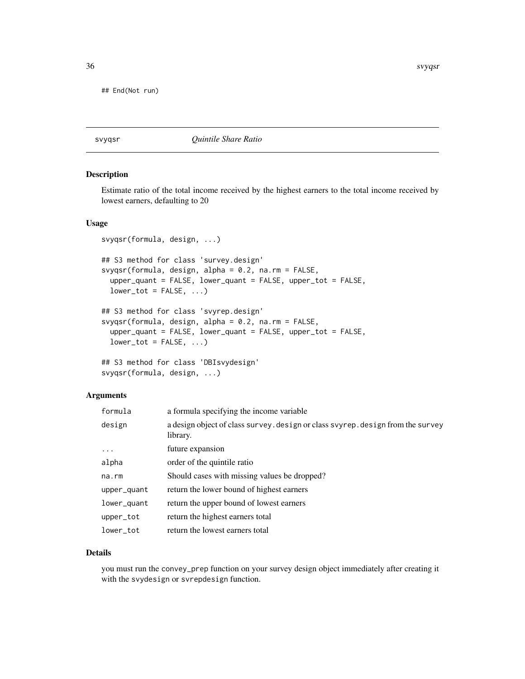<span id="page-35-0"></span>## End(Not run)

svyqsr *Quintile Share Ratio*

# Description

Estimate ratio of the total income received by the highest earners to the total income received by lowest earners, defaulting to 20

# Usage

```
svyqsr(formula, design, ...)
## S3 method for class 'survey.design'
svyqsr(formula, design, alpha = 0.2, na.rm = FALSE,
 upper_quant = FALSE, lower_quant = FALSE, upper_tot = FALSE,
 lower\_tot = FALSE, ...)## S3 method for class 'svyrep.design'
svyqsr(formula, design, alpha = 0.2, na.rm = FALSE,
 upper_quant = FALSE, lower_quant = FALSE, upper_tot = FALSE,
 lower\_tot = FALSE, ...)## S3 method for class 'DBIsvydesign'
svyqsr(formula, design, ...)
```
# Arguments

| formula     | a formula specifying the income variable                                                    |
|-------------|---------------------------------------------------------------------------------------------|
| design      | a design object of class survey. design or class svyrep. design from the survey<br>library. |
| $\cdots$    | future expansion                                                                            |
| alpha       | order of the quintile ratio                                                                 |
| na.rm       | Should cases with missing values be dropped?                                                |
| upper_quant | return the lower bound of highest earners                                                   |
| lower_quant | return the upper bound of lowest earners                                                    |
| upper_tot   | return the highest earners total                                                            |
| lower_tot   | return the lowest earners total                                                             |

# Details

you must run the convey\_prep function on your survey design object immediately after creating it with the svydesign or svrepdesign function.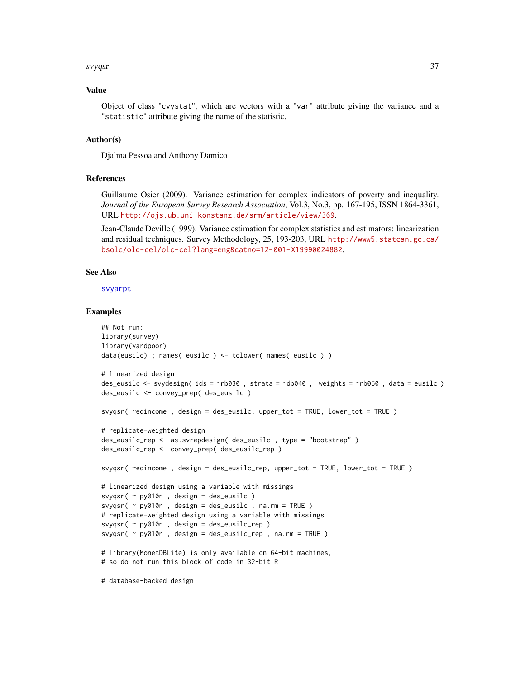#### <span id="page-36-0"></span>svyqsr 37

# Value

Object of class "cvystat", which are vectors with a "var" attribute giving the variance and a "statistic" attribute giving the name of the statistic.

# Author(s)

Djalma Pessoa and Anthony Damico

# References

Guillaume Osier (2009). Variance estimation for complex indicators of poverty and inequality. *Journal of the European Survey Research Association*, Vol.3, No.3, pp. 167-195, ISSN 1864-3361, URL <http://ojs.ub.uni-konstanz.de/srm/article/view/369>.

Jean-Claude Deville (1999). Variance estimation for complex statistics and estimators: linearization and residual techniques. Survey Methodology, 25, 193-203, URL [http://www5.statcan.gc.ca/](http://www5.statcan.gc.ca/bsolc/olc-cel/olc-cel?lang=eng&catno=12-001-X19990024882) [bsolc/olc-cel/olc-cel?lang=eng&catno=12-001-X19990024882](http://www5.statcan.gc.ca/bsolc/olc-cel/olc-cel?lang=eng&catno=12-001-X19990024882).

# See Also

[svyarpt](#page-9-1)

# Examples

```
## Not run:
library(survey)
library(vardpoor)
data(eusilc) ; names( eusilc ) <- tolower( names( eusilc ) )
# linearized design
des_eusilc <- svydesign( ids = ~rb030 , strata = ~db040 , weights = ~rb050 , data = eusilc )
des_eusilc <- convey_prep( des_eusilc )
svyqsr( ~eqincome , design = des_eusilc, upper_tot = TRUE, lower_tot = TRUE )
# replicate-weighted design
des_eusilc_rep <- as.svrepdesign( des_eusilc , type = "bootstrap" )
des_eusilc_rep <- convey_prep( des_eusilc_rep )
svyqsr( ~eqincome , design = des_eusilc_rep, upper_tot = TRUE, lower_tot = TRUE )
# linearized design using a variable with missings
svyqsr( ~ py010n , design = des_eusilc )
svyqsr( ~ py010n , design = des_eusilc , na.rm = TRUE )
# replicate-weighted design using a variable with missings
svyqsr( ~ py010n , design = des_eusilc_rep )
svyqsr( ~ py010n , design = des_eusilc_rep , na.rm = TRUE )
# library(MonetDBLite) is only available on 64-bit machines,
# so do not run this block of code in 32-bit R
```
# database-backed design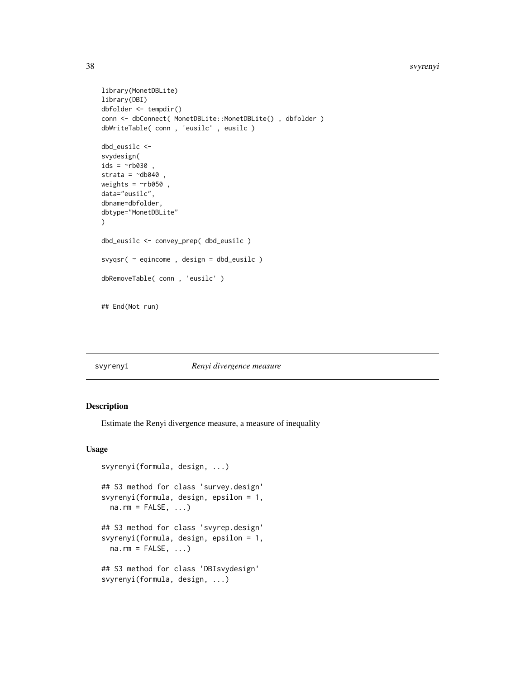#### <span id="page-37-0"></span>38 svyrenyi

```
library(MonetDBLite)
library(DBI)
dbfolder <- tempdir()
conn <- dbConnect( MonetDBLite::MonetDBLite() , dbfolder )
dbWriteTable( conn , 'eusilc' , eusilc )
dbd_eusilc <-
svydesign(
ids = \negrb030,
strata = \negdb040,
weights = \negrb050,
data="eusilc",
dbname=dbfolder,
dbtype="MonetDBLite"
)
dbd_eusilc <- convey_prep( dbd_eusilc )
svyqsr( ~ eqincome , design = dbd_eusilc )
dbRemoveTable( conn , 'eusilc' )
```
## End(Not run)

# svyrenyi *Renyi divergence measure*

# Description

Estimate the Renyi divergence measure, a measure of inequality

#### Usage

```
svyrenyi(formula, design, ...)
## S3 method for class 'survey.design'
svyrenyi(formula, design, epsilon = 1,
 na.rm = FALSE, ...)## S3 method for class 'svyrep.design'
svyrenyi(formula, design, epsilon = 1,
 na.rm = FALSE, ...)## S3 method for class 'DBIsvydesign'
svyrenyi(formula, design, ...)
```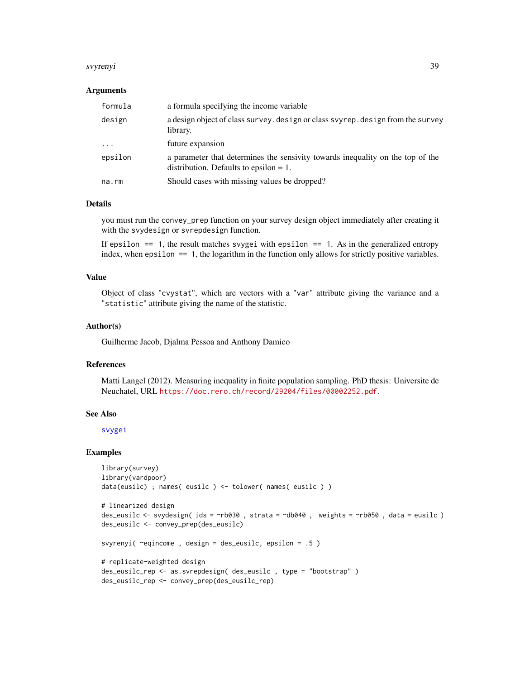#### <span id="page-38-0"></span>svyrenyi 39

## Arguments

| formula     | a formula specifying the income variable                                                                                    |
|-------------|-----------------------------------------------------------------------------------------------------------------------------|
| design      | a design object of class survey. design or class svyrep. design from the survey<br>library.                                 |
| $\cdot$     | future expansion                                                                                                            |
| epsilon     | a parameter that determines the sensivity towards inequality on the top of the<br>distribution. Defaults to epsilon $= 1$ . |
| $na$ . $rm$ | Should cases with missing values be dropped?                                                                                |

# Details

you must run the convey\_prep function on your survey design object immediately after creating it with the svydesign or svrepdesign function.

If epsilon  $==$  1, the result matches svygei with epsilon  $==$  1. As in the generalized entropy index, when epsilon == 1, the logarithm in the function only allows for strictly positive variables.

# Value

Object of class "cvystat", which are vectors with a "var" attribute giving the variance and a "statistic" attribute giving the name of the statistic.

# Author(s)

Guilherme Jacob, Djalma Pessoa and Anthony Damico

# References

Matti Langel (2012). Measuring inequality in finite population sampling. PhD thesis: Universite de Neuchatel, URL <https://doc.rero.ch/record/29204/files/00002252.pdf>.

#### See Also

[svygei](#page-18-1)

```
library(survey)
library(vardpoor)
data(eusilc) ; names( eusilc ) <- tolower( names( eusilc ) )
```

```
# linearized design
des_eusilc <- svydesign( ids = ~rb030 , strata = ~db040 , weights = ~rb050 , data = eusilc )
des_eusilc <- convey_prep(des_eusilc)
```

```
svyrenyi( ~eqincome , design = des_eusilc, epsilon = .5 )
```

```
# replicate-weighted design
des_eusilc_rep <- as.svrepdesign( des_eusilc , type = "bootstrap" )
des_eusilc_rep <- convey_prep(des_eusilc_rep)
```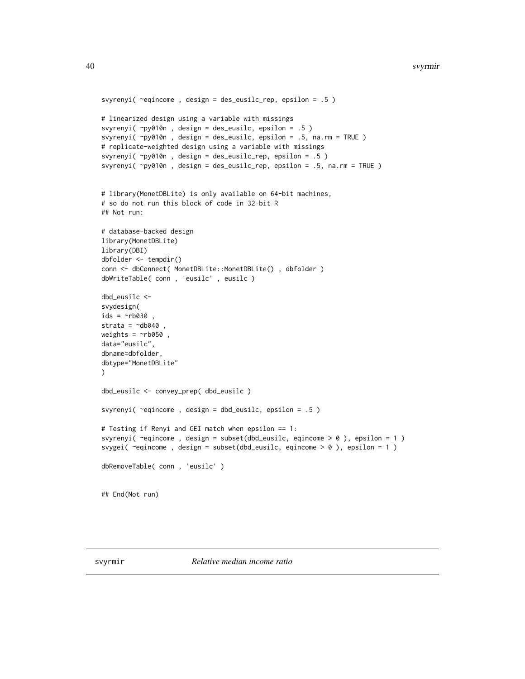```
svyrenyi( ~eqincome , design = des_eusilc_rep, epsilon = .5 )
# linearized design using a variable with missings
svyrenyi( ~py010n , design = des_eusilc, epsilon = .5 )
svyrenyi( ~py010n , design = des_eusilc, epsilon = .5, na.rm = TRUE )
# replicate-weighted design using a variable with missings
svyrenyi( ~py010n , design = des_eusilc_rep, epsilon = .5 )
svyrenyi( ~py010n , design = des_eusilc_rep, epsilon = .5, na.rm = TRUE )
# library(MonetDBLite) is only available on 64-bit machines,
# so do not run this block of code in 32-bit R
## Not run:
# database-backed design
library(MonetDBLite)
library(DBI)
dbfolder <- tempdir()
conn <- dbConnect( MonetDBLite::MonetDBLite() , dbfolder )
dbWriteTable( conn , 'eusilc' , eusilc )
dbd_eusilc <-
svydesign(
ids = \negrb030
strata = \simdb040
weights = \nightharpoonuprb050,
data="eusilc",
dbname=dbfolder,
dbtype="MonetDBLite"
\lambdadbd_eusilc <- convey_prep( dbd_eusilc )
svyrenyi( ~eqincome , design = dbd_eusilc, epsilon = .5 )
# Testing if Renyi and GEI match when epsilon == 1:
svyrenyi( ~eqincome , design = subset(dbd_eusilc, eqincome > 0 ), epsilon = 1 )
svygei( ~eqincome , design = subset(dbd_eusilc, eqincome > 0 ), epsilon = 1 )
dbRemoveTable( conn , 'eusilc' )
## End(Not run)
```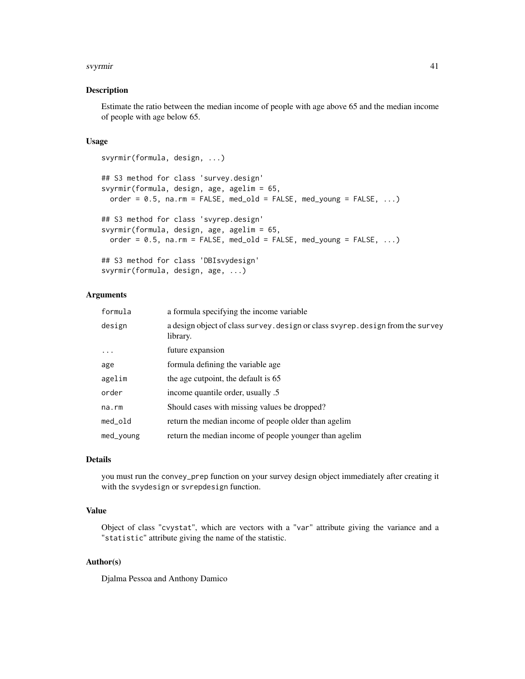#### svyrmir 41

# Description

Estimate the ratio between the median income of people with age above 65 and the median income of people with age below 65.

# Usage

```
svyrmir(formula, design, ...)
## S3 method for class 'survey.design'
svyrmir(formula, design, age, agelim = 65,
 order = 0.5, na.rm = FALSE, med_old = FALSE, med_young = FALSE, ...)
## S3 method for class 'svyrep.design'
svyrmir(formula, design, age, agelim = 65,
 order = 0.5, na.rm = FALSE, med_old = FALSE, med_young = FALSE, ...)
## S3 method for class 'DBIsvydesign'
svyrmir(formula, design, age, ...)
```
# Arguments

| formula   | a formula specifying the income variable                                                    |
|-----------|---------------------------------------------------------------------------------------------|
| design    | a design object of class survey. design or class svyrep. design from the survey<br>library. |
| $\cdots$  | future expansion                                                                            |
| age       | formula defining the variable age.                                                          |
| agelim    | the age cutpoint, the default is 65                                                         |
| order     | income quantile order, usually .5                                                           |
| na.rm     | Should cases with missing values be dropped?                                                |
| med_old   | return the median income of people older than agelim                                        |
| med_young | return the median income of people younger than agelim                                      |

# Details

you must run the convey\_prep function on your survey design object immediately after creating it with the svydesign or svrepdesign function.

# Value

Object of class "cvystat", which are vectors with a "var" attribute giving the variance and a "statistic" attribute giving the name of the statistic.

# Author(s)

Djalma Pessoa and Anthony Damico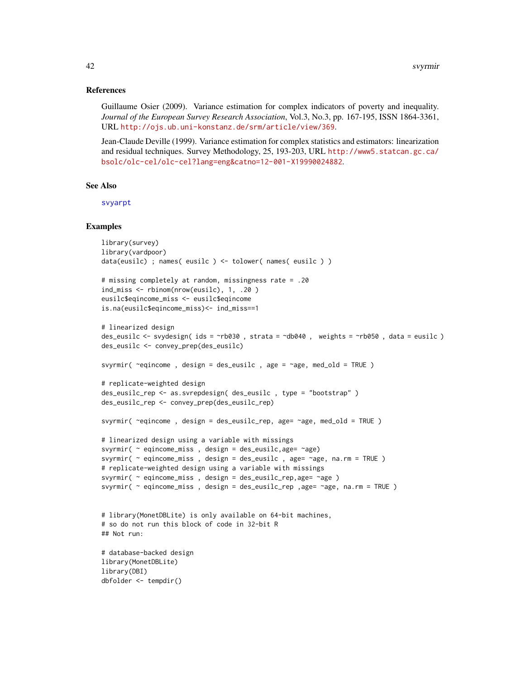# <span id="page-41-0"></span>References

Guillaume Osier (2009). Variance estimation for complex indicators of poverty and inequality. *Journal of the European Survey Research Association*, Vol.3, No.3, pp. 167-195, ISSN 1864-3361, URL <http://ojs.ub.uni-konstanz.de/srm/article/view/369>.

Jean-Claude Deville (1999). Variance estimation for complex statistics and estimators: linearization and residual techniques. Survey Methodology, 25, 193-203, URL [http://www5.statcan.gc.ca/](http://www5.statcan.gc.ca/bsolc/olc-cel/olc-cel?lang=eng&catno=12-001-X19990024882) [bsolc/olc-cel/olc-cel?lang=eng&catno=12-001-X19990024882](http://www5.statcan.gc.ca/bsolc/olc-cel/olc-cel?lang=eng&catno=12-001-X19990024882).

# See Also

[svyarpt](#page-9-1)

```
library(survey)
library(vardpoor)
data(eusilc) ; names( eusilc ) <- tolower( names( eusilc ) )
# missing completely at random, missingness rate = .20
ind_miss <- rbinom(nrow(eusilc), 1, .20 )
eusilc$eqincome_miss <- eusilc$eqincome
is.na(eusilc$eqincome_miss)<- ind_miss==1
# linearized design
des_eusilc <- svydesign( ids = ~rb030 , strata = ~db040 , weights = ~rb050 , data = eusilc )
des_eusilc <- convey_prep(des_eusilc)
svyrmir( \epsiloneqincome, design = des_eusilc, age = \epsilonage, med_old = TRUE)
# replicate-weighted design
des_eusilc_rep <- as.svrepdesign( des_eusilc , type = "bootstrap" )
des_eusilc_rep <- convey_prep(des_eusilc_rep)
svyrmir( ~eqincome , design = des_eusilc_rep, age= ~age, med_old = TRUE )
# linearized design using a variable with missings
svyrmir( ~ eqincome_miss , design = des_eusilc,age= ~age)
svyrmir( ~ eqincome_miss , design = des_eusilc , age= ~age, na.rm = TRUE )
# replicate-weighted design using a variable with missings
svyrmir( ~ eqincome_miss , design = des_eusilc_rep,age= ~age )
svyrmir( \sim eqincome_miss, design = des_eusilc_rep, age= \simage, na.rm = TRUE)
# library(MonetDBLite) is only available on 64-bit machines,
# so do not run this block of code in 32-bit R
## Not run:
# database-backed design
library(MonetDBLite)
library(DBI)
dbfolder <- tempdir()
```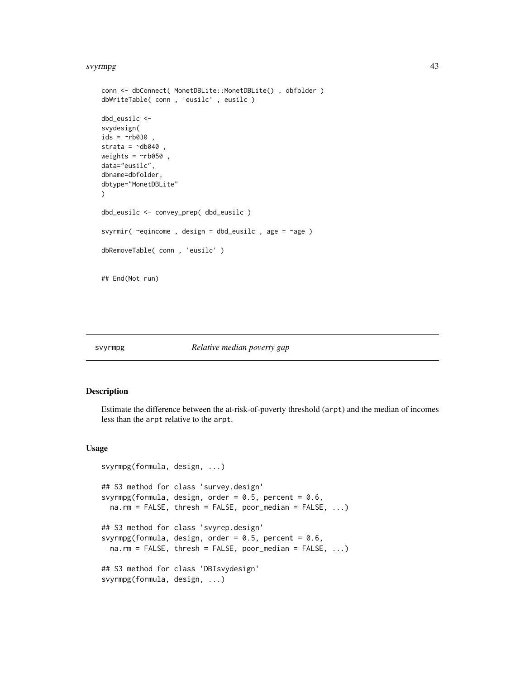#### <span id="page-42-0"></span>svyrmpg 43

```
conn <- dbConnect( MonetDBLite::MonetDBLite() , dbfolder )
dbWriteTable( conn , 'eusilc' , eusilc )
dbd_eusilc <-
svydesign(
ids = \negrb030 ,
strata = \negdb040,
weights = \negrb050,
data="eusilc",
dbname=dbfolder,
dbtype="MonetDBLite"
)
dbd_eusilc <- convey_prep( dbd_eusilc )
svyrmir( ~eqincome , design = dbd_eusilc , age = ~age )
dbRemoveTable( conn , 'eusilc' )
## End(Not run)
```
# svyrmpg *Relative median poverty gap*

#### Description

Estimate the difference between the at-risk-of-poverty threshold (arpt) and the median of incomes less than the arpt relative to the arpt.

#### Usage

```
svyrmpg(formula, design, ...)
## S3 method for class 'survey.design'
svyrmpg(formula, design, order = 0.5, percent = 0.6,
 na.rm = FALSE, thresh = FALSE, poor_median = FALSE, \ldots)
## S3 method for class 'svyrep.design'
svyrmpg(formula, design, order = 0.5, percent = 0.6,
 na.rm = FALSE, thresh = FALSE, poor_median = FALSE, \ldots)
## S3 method for class 'DBIsvydesign'
svyrmpg(formula, design, ...)
```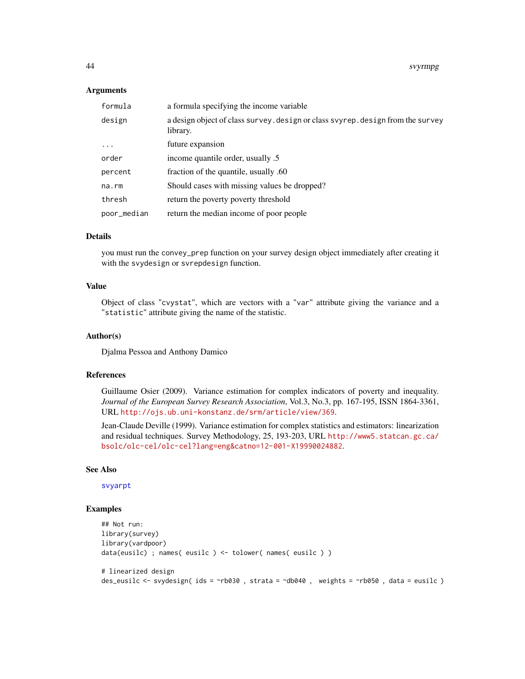# **Arguments**

| formula     | a formula specifying the income variable                                                    |
|-------------|---------------------------------------------------------------------------------------------|
| design      | a design object of class survey. design or class svyrep. design from the survey<br>library. |
| $\cdots$    | future expansion                                                                            |
| order       | income quantile order, usually .5                                                           |
| percent     | fraction of the quantile, usually .60                                                       |
| na.rm       | Should cases with missing values be dropped?                                                |
| thresh      | return the poverty poverty threshold                                                        |
| poor_median | return the median income of poor people                                                     |

# Details

you must run the convey\_prep function on your survey design object immediately after creating it with the svydesign or svrepdesign function.

# Value

Object of class "cvystat", which are vectors with a "var" attribute giving the variance and a "statistic" attribute giving the name of the statistic.

#### Author(s)

Djalma Pessoa and Anthony Damico

#### References

Guillaume Osier (2009). Variance estimation for complex indicators of poverty and inequality. *Journal of the European Survey Research Association*, Vol.3, No.3, pp. 167-195, ISSN 1864-3361, URL <http://ojs.ub.uni-konstanz.de/srm/article/view/369>.

Jean-Claude Deville (1999). Variance estimation for complex statistics and estimators: linearization and residual techniques. Survey Methodology, 25, 193-203, URL [http://www5.statcan.gc.ca/](http://www5.statcan.gc.ca/bsolc/olc-cel/olc-cel?lang=eng&catno=12-001-X19990024882) [bsolc/olc-cel/olc-cel?lang=eng&catno=12-001-X19990024882](http://www5.statcan.gc.ca/bsolc/olc-cel/olc-cel?lang=eng&catno=12-001-X19990024882).

#### See Also

[svyarpt](#page-9-1)

```
## Not run:
library(survey)
library(vardpoor)
data(eusilc) ; names( eusilc ) <- tolower( names( eusilc ) )
# linearized design
des_eusilc <- svydesign( ids = ~rb030 , strata = ~db040 , weights = ~rb050 , data = eusilc )
```
<span id="page-43-0"></span>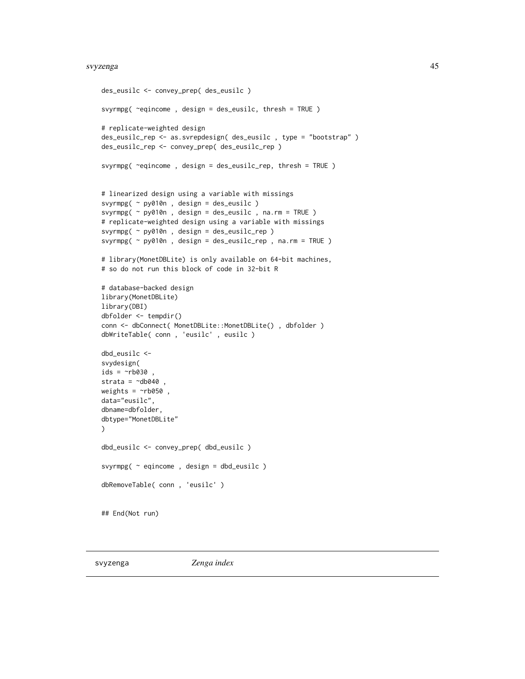#### <span id="page-44-0"></span>svyzenga 45

```
des_eusilc <- convey_prep( des_eusilc )
svyrmpg( ~eqincome , design = des_eusilc, thresh = TRUE )
# replicate-weighted design
des_eusilc_rep <- as.svrepdesign( des_eusilc , type = "bootstrap" )
des_eusilc_rep <- convey_prep( des_eusilc_rep )
svyrmpg( ~eqincome , design = des_eusilc_rep, thresh = TRUE )
# linearized design using a variable with missings
svyrmpg( ~ py010n , design = des_eusilc )
svyrmpg( ~ py010n , design = des_eusilc , na.rm = TRUE )
# replicate-weighted design using a variable with missings
svyrmpg( ~ py010n , design = des_eusilc_rep )
svyrmpg( ~ py010n , design = des_eusilc_rep , na.rm = TRUE )
# library(MonetDBLite) is only available on 64-bit machines,
# so do not run this block of code in 32-bit R
# database-backed design
library(MonetDBLite)
library(DBI)
dbfolder <- tempdir()
conn <- dbConnect( MonetDBLite::MonetDBLite() , dbfolder )
dbWriteTable( conn , 'eusilc' , eusilc )
dbd_eusilc <-
svydesign(
ids = \nightharpoonuprb030 ,
strata = \negdb040
weights = ~\simrb050,
data="eusilc",
dbname=dbfolder,
dbtype="MonetDBLite"
\lambdadbd_eusilc <- convey_prep( dbd_eusilc )
svyrmpg( ~ eqincome , design = dbd_eusilc )
dbRemoveTable( conn , 'eusilc' )
## End(Not run)
```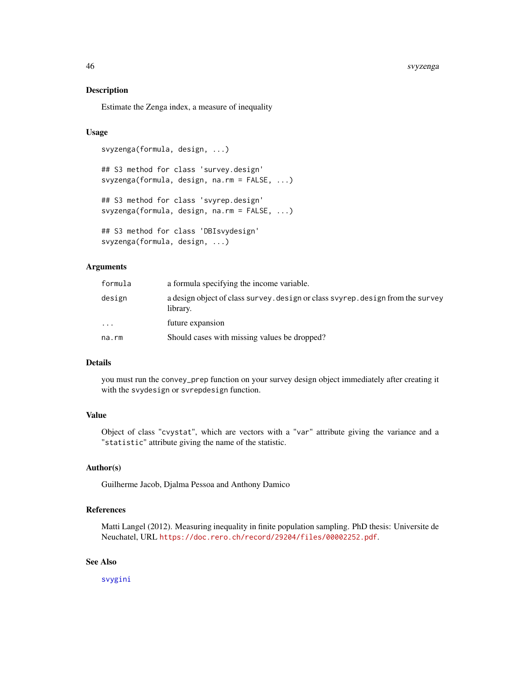#### 46 svyzenga

# Description

Estimate the Zenga index, a measure of inequality

# Usage

```
svyzenga(formula, design, ...)
```
## S3 method for class 'survey.design' svyzenga(formula, design, na.rm = FALSE, ...) ## S3 method for class 'svyrep.design'

svyzenga(formula, design, na.rm = FALSE, ...)

```
## S3 method for class 'DBIsvydesign'
svyzenga(formula, design, ...)
```
# Arguments

| formula   | a formula specifying the income variable.                                                   |
|-----------|---------------------------------------------------------------------------------------------|
| design    | a design object of class survey, design or class svyrep, design from the survey<br>library. |
| $\ddotsc$ | future expansion                                                                            |
| na.rm     | Should cases with missing values be dropped?                                                |

# Details

you must run the convey\_prep function on your survey design object immediately after creating it with the svydesign or svrepdesign function.

# Value

Object of class "cvystat", which are vectors with a "var" attribute giving the variance and a "statistic" attribute giving the name of the statistic.

# Author(s)

Guilherme Jacob, Djalma Pessoa and Anthony Damico

# References

Matti Langel (2012). Measuring inequality in finite population sampling. PhD thesis: Universite de Neuchatel, URL <https://doc.rero.ch/record/29204/files/00002252.pdf>.

# See Also

[svygini](#page-21-1)

<span id="page-45-0"></span>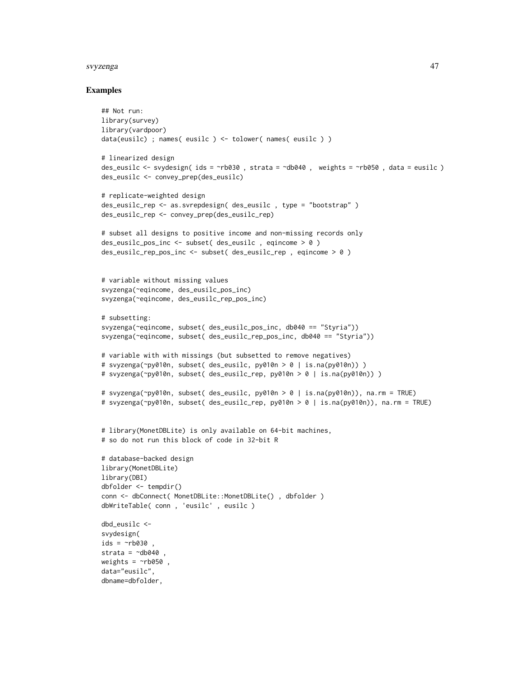#### svyzenga 47

```
## Not run:
library(survey)
library(vardpoor)
data(eusilc) ; names( eusilc ) <- tolower( names( eusilc ) )
# linearized design
des_eusilc <- svydesign( ids = ~rb030 , strata = ~db040 , weights = ~rb050 , data = eusilc )
des_eusilc <- convey_prep(des_eusilc)
# replicate-weighted design
des_eusilc_rep <- as.svrepdesign( des_eusilc , type = "bootstrap" )
des_eusilc_rep <- convey_prep(des_eusilc_rep)
# subset all designs to positive income and non-missing records only
des_eusilc_pos_inc <- subset( des_eusilc , eqincome > 0 )
des_eusilc_rep_pos_inc <- subset( des_eusilc_rep , eqincome > 0 )
# variable without missing values
svyzenga(~eqincome, des_eusilc_pos_inc)
svyzenga(~eqincome, des_eusilc_rep_pos_inc)
# subsetting:
svyzenga(~eqincome, subset( des_eusilc_pos_inc, db040 == "Styria"))
svyzenga(~eqincome, subset( des_eusilc_rep_pos_inc, db040 == "Styria"))
# variable with with missings (but subsetted to remove negatives)
# svyzenga(~py010n, subset( des_eusilc, py010n > 0 | is.na(py010n)) )
# svyzenga(~py010n, subset( des_eusilc_rep, py010n > 0 | is.na(py010n)) )
# svyzenga(~py010n, subset( des_eusilc, py010n > 0 | is.na(py010n)), na.rm = TRUE)
# svyzenga(~py010n, subset( des_eusilc_rep, py010n > 0 | is.na(py010n)), na.rm = TRUE)
# library(MonetDBLite) is only available on 64-bit machines,
# so do not run this block of code in 32-bit R
# database-backed design
library(MonetDBLite)
library(DBI)
dbfolder <- tempdir()
conn <- dbConnect( MonetDBLite::MonetDBLite() , dbfolder )
dbWriteTable( conn , 'eusilc' , eusilc )
dbd_eusilc <-
svydesign(
ids = \negrb030 ,
strata = \negdb040
weights = \nightharpoonuprb050,
data="eusilc",
dbname=dbfolder,
```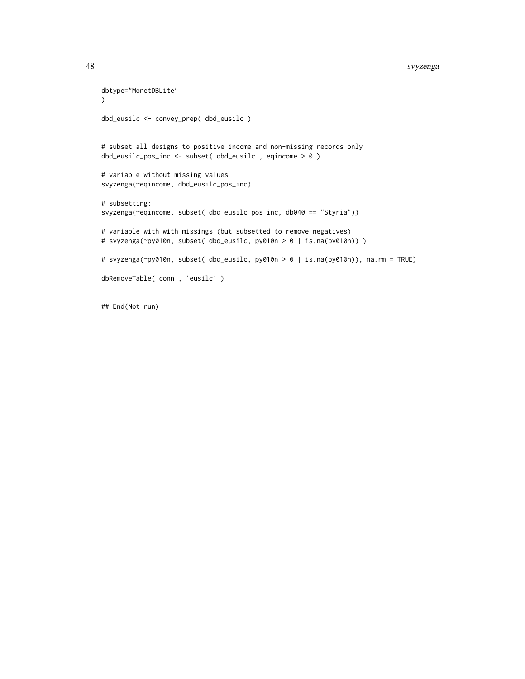```
dbtype="MonetDBLite"
)
dbd_eusilc <- convey_prep( dbd_eusilc )
# subset all designs to positive income and non-missing records only
dbd_eusilc_pos_inc <- subset( dbd_eusilc , eqincome > 0 )
# variable without missing values
svyzenga(~eqincome, dbd_eusilc_pos_inc)
# subsetting:
svyzenga(~eqincome, subset( dbd_eusilc_pos_inc, db040 == "Styria"))
# variable with with missings (but subsetted to remove negatives)
# svyzenga(~py010n, subset( dbd_eusilc, py010n > 0 | is.na(py010n)) )
# svyzenga(~py010n, subset( dbd_eusilc, py010n > 0 | is.na(py010n)), na.rm = TRUE)
dbRemoveTable( conn , 'eusilc' )
```
## End(Not run)